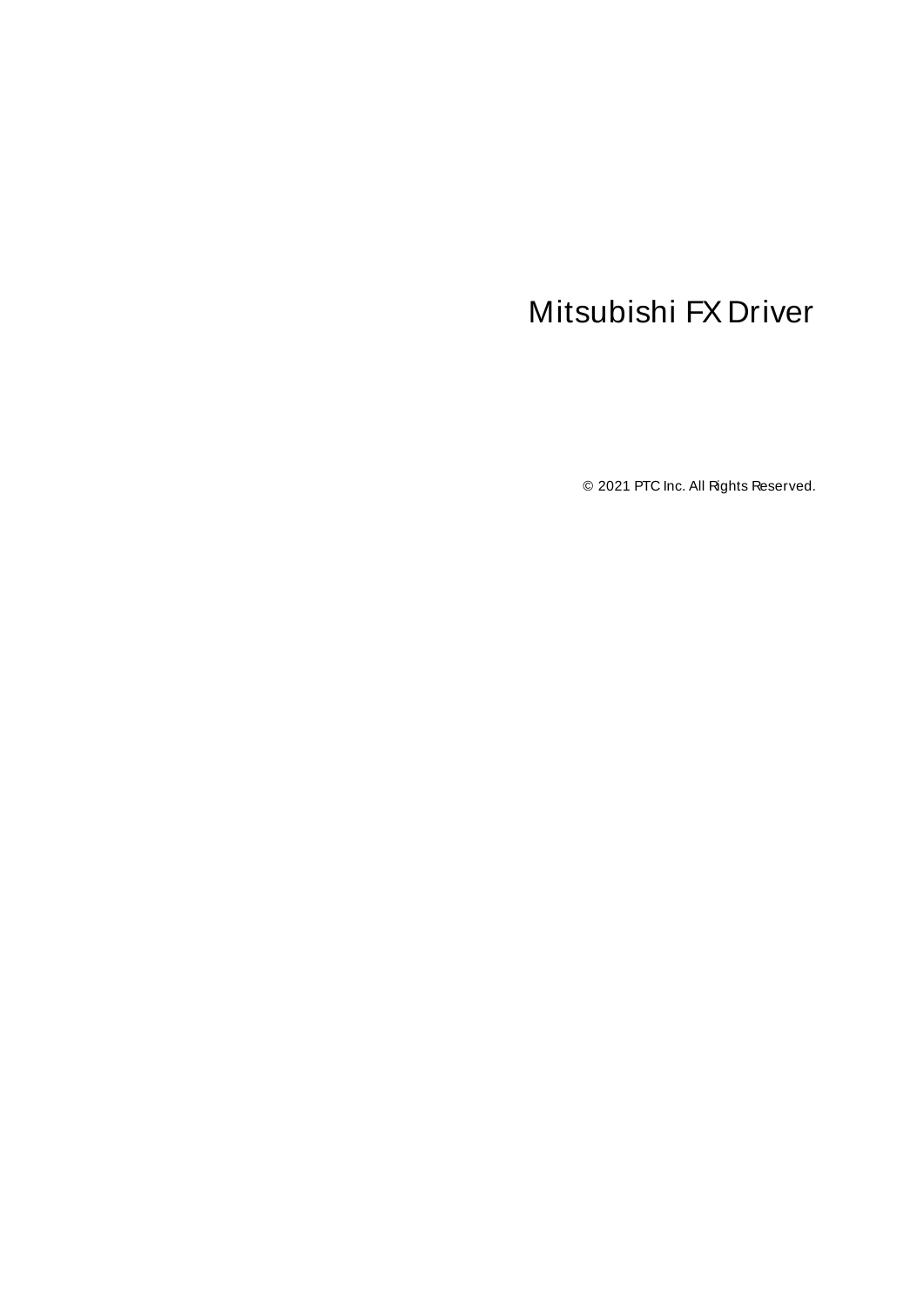# <span id="page-0-0"></span>Mitsubishi FX Driver

© 2021 PTC Inc. All Rights Reserved.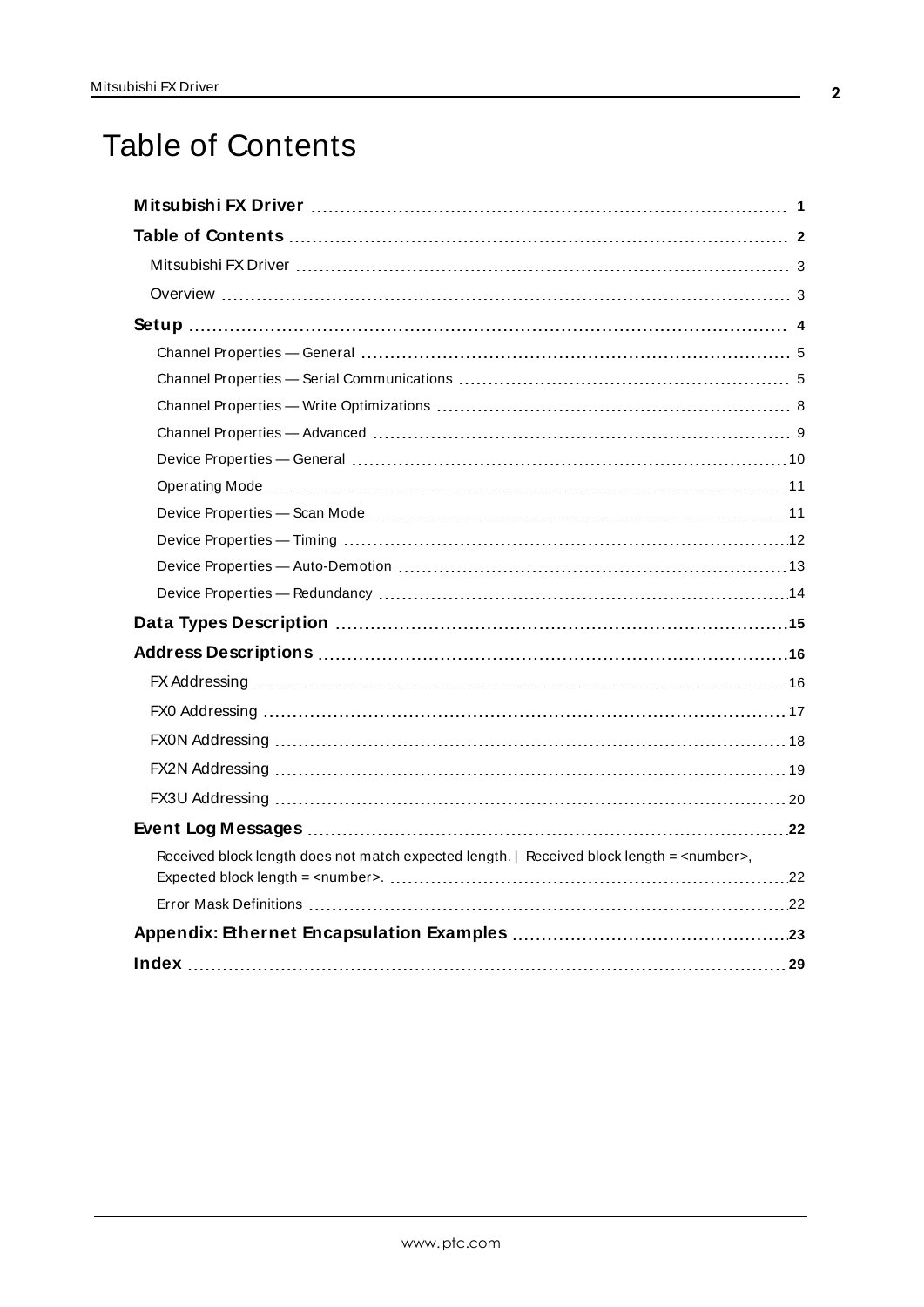# <span id="page-1-0"></span>Table of Contents

| Received block length does not match expected length.   Received block length = <number>,</number> |
|----------------------------------------------------------------------------------------------------|
|                                                                                                    |
|                                                                                                    |
|                                                                                                    |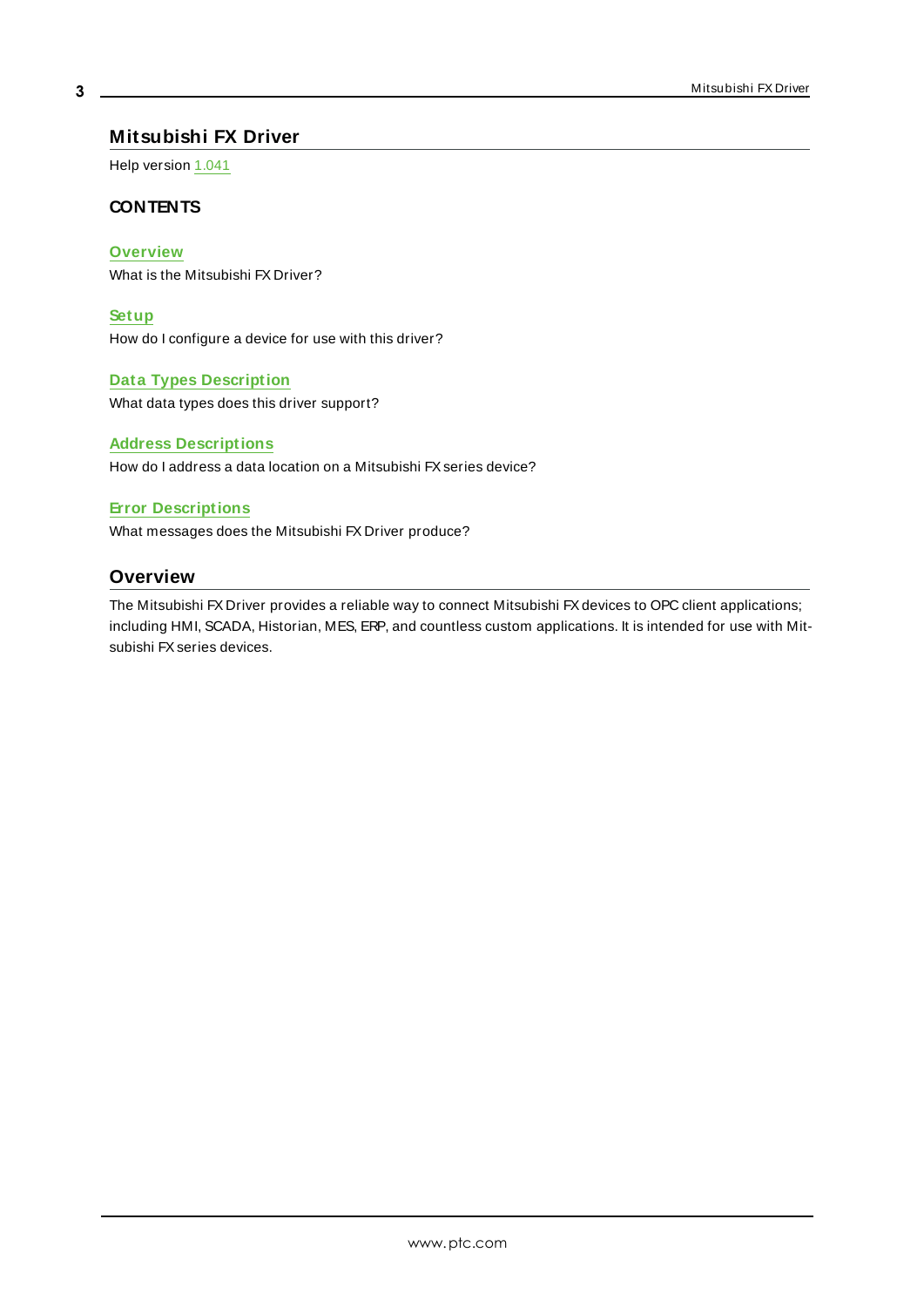## <span id="page-2-0"></span>**Mitsubishi FX Driver**

Help version 1.041

## **CONTENTS**

## **[Overview](#page-2-1)**

What is the Mitsubishi FX Driver?

#### **[Setup](#page-3-0)**

How do I configure a device for use with this driver?

#### **Data Types [Description](#page-14-0)**

What data types does this driver support?

#### **Address [Descriptions](#page-15-0)**

How do I address a data location on a Mitsubishi FX series device?

#### **Error [Descriptions](#page-21-1)**

<span id="page-2-1"></span>What messages does the Mitsubishi FX Driver produce?

# **Overview**

The Mitsubishi FX Driver provides a reliable way to connect Mitsubishi FXdevices to OPC client applications; including HMI, SCADA, Historian, MES, ERP, and countless custom applications. It is intended for use with Mitsubishi FXseries devices.

**3**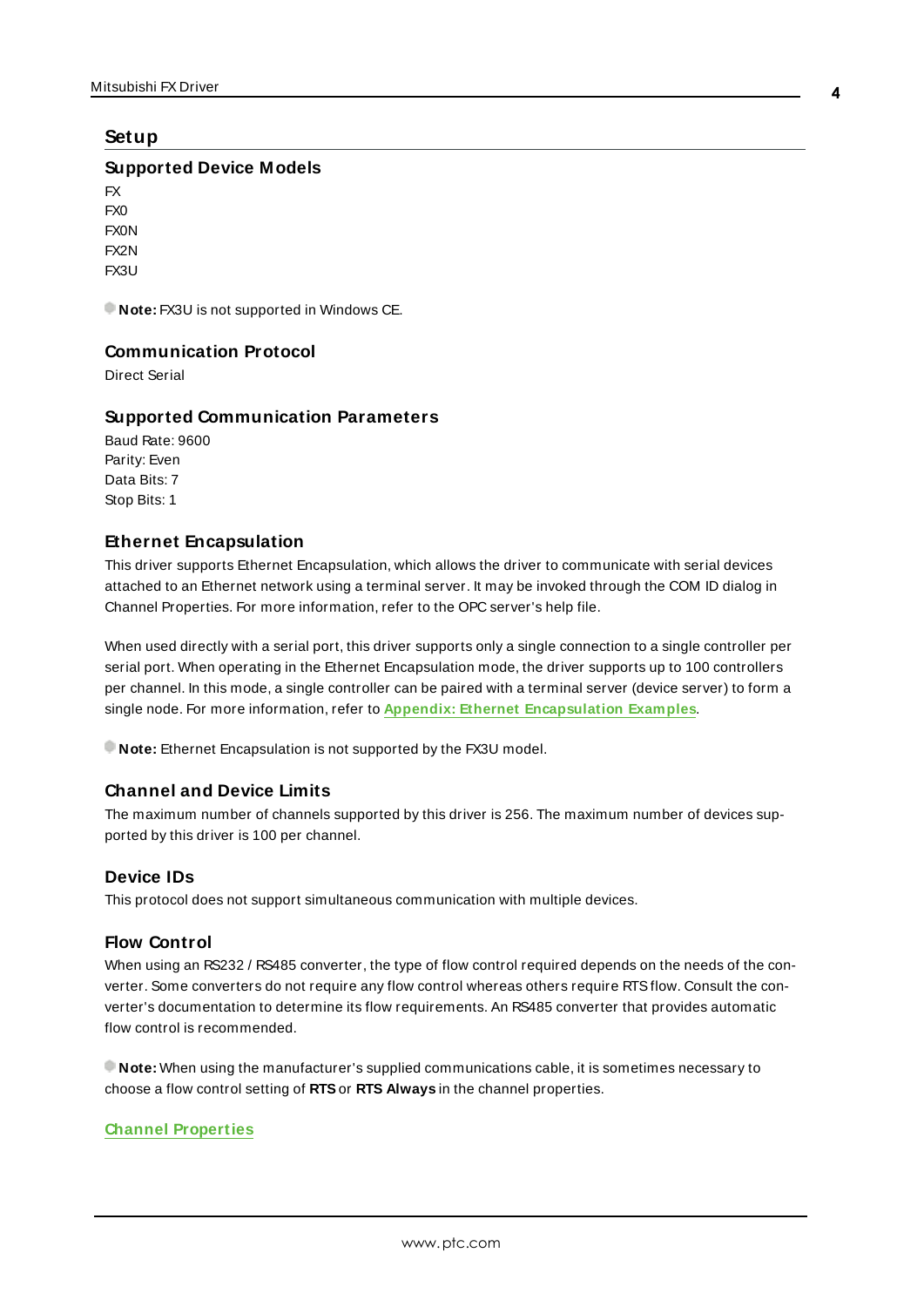# <span id="page-3-7"></span><span id="page-3-0"></span>**Setup**

#### **Supported Device Models**

FX FX0 FX0N FX2N FX3U

<span id="page-3-1"></span>**Note:** FX3U is not supported in Windows CE.

## **Communication Protocol**

<span id="page-3-6"></span>Direct Serial

## **Supported Communication Parameters**

Baud Rate: 9600 Parity: Even Data Bits: 7 Stop Bits: 1

## <span id="page-3-5"></span><span id="page-3-3"></span>**Ethernet Encapsulation**

This driver supports Ethernet Encapsulation, which allows the driver to communicate with serial devices attached to an Ethernet network using a terminal server. It may be invoked through the COM ID dialog in Channel Properties. For more information, refer to the OPC server's help file.

When used directly with a serial port, this driver supports only a single connection to a single controller per serial port. When operating in the Ethernet Encapsulation mode, the driver supports up to 100 controllers per channel. In this mode, a single controller can be paired with a terminal server (device server) to form a single node. For more information, refer to **Appendix: Ethernet [Encapsulation](#page-22-0) Examples**.

**Note:** Ethernet Encapsulation is not supported by the FX3U model.

## **Channel and Device Limits**

The maximum number of channels supported by this driver is 256. The maximum number of devices supported by this driver is 100 per channel.

## <span id="page-3-2"></span>**Device IDs**

<span id="page-3-4"></span>This protocol does not support simultaneous communication with multiple devices.

## **Flow Control**

When using an RS232 / RS485 converter, the type of flow control required depends on the needs of the converter. Some converters do not require any flow control whereas others require RTSflow. Consult the converter's documentation to determine its flow requirements. An RS485 converter that provides automatic flow control is recommended.

**Note:** When using the manufacturer's supplied communications cable, it is sometimes necessary to choose a flow control setting of **RTS**or **RTS Always** in the channel properties.

#### **Channel [Properties](#page-4-0)**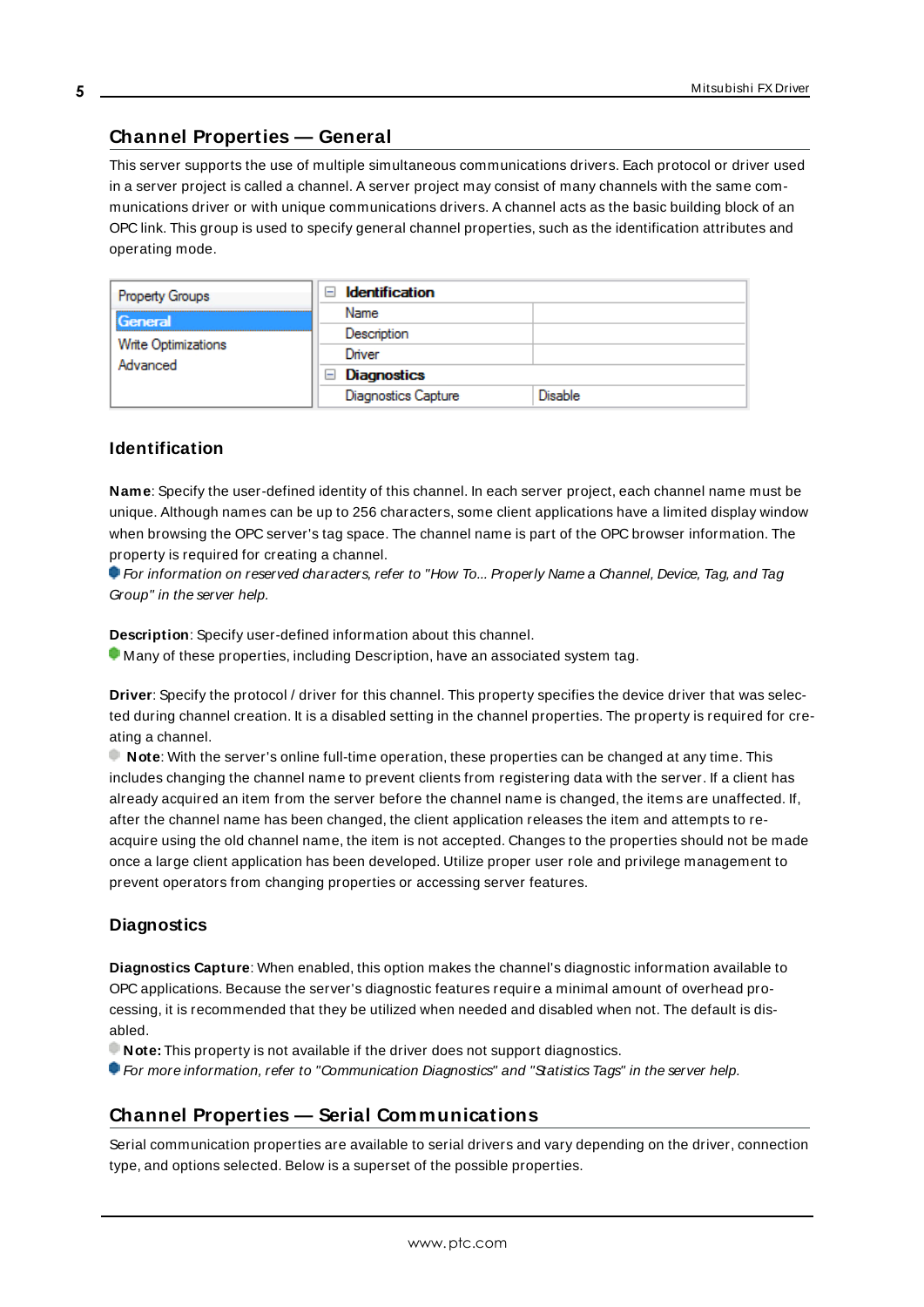# <span id="page-4-0"></span>**Channel Properties — General**

This server supports the use of multiple simultaneous communications drivers. Each protocol or driver used in a server project is called a channel. A server project may consist of many channels with the same communications driver or with unique communications drivers. A channel acts as the basic building block of an OPC link. This group is used to specify general channel properties, such as the identification attributes and operating mode.

| <b>Property Groups</b>          | <b>Identification</b><br>-1         |                |
|---------------------------------|-------------------------------------|----------------|
| General                         | Name                                |                |
| Write Optimizations<br>Advanced | Description                         |                |
|                                 | Driver                              |                |
|                                 | <b>Diagnostics</b><br>$\overline{}$ |                |
|                                 | <b>Diagnostics Capture</b>          | <b>Disable</b> |

# **Identification**

**Name**: Specify the user-defined identity of this channel. In each server project, each channel name must be unique. Although names can be up to 256 characters, some client applications have a limited display window when browsing the OPC server's tag space. The channel name is part of the OPC browser information. The property is required for creating a channel.

For information on reserved characters, refer to "How To... Properly Name a Channel, Device, Tag, and Tag Group" in the server help.

**Description**: Specify user-defined information about this channel.

Many of these properties, including Description, have an associated system tag.

**Driver**: Specify the protocol / driver for this channel. This property specifies the device driver that was selected during channel creation. It is a disabled setting in the channel properties. The property is required for creating a channel.

**Note**: With the server's online full-time operation, these properties can be changed at any time. This includes changing the channel name to prevent clients from registering data with the server. If a client has already acquired an item from the server before the channel name is changed, the items are unaffected. If, after the channel name has been changed, the client application releases the item and attempts to reacquire using the old channel name, the item is not accepted. Changes to the properties should not be made once a large client application has been developed. Utilize proper user role and privilege management to prevent operators from changing properties or accessing server features.

## **Diagnostics**

**Diagnostics Capture**: When enabled, this option makes the channel's diagnostic information available to OPC applications. Because the server's diagnostic features require a minimal amount of overhead processing, it is recommended that they be utilized when needed and disabled when not. The default is disabled.

**Note:** This property is not available if the driver does not support diagnostics.

<span id="page-4-1"></span>For more information, refer to "Communication Diagnostics" and "Statistics Tags" in the server help.

# **Channel Properties — Serial Communications**

Serial communication properties are available to serial drivers and vary depending on the driver, connection type, and options selected. Below is a superset of the possible properties.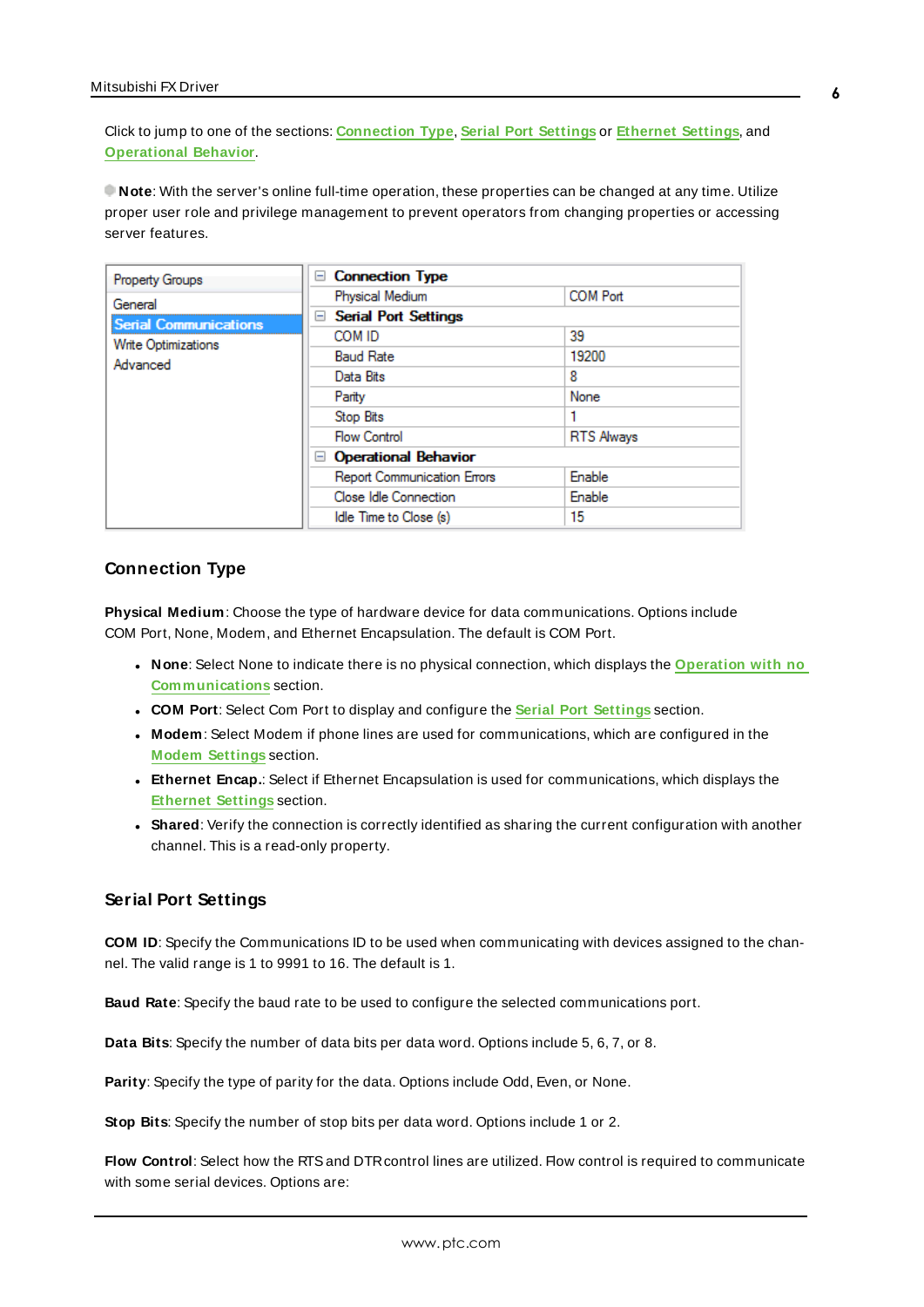Click to jump to one of the sections: **[Connection](#page-5-0) Type**, **Serial Port [Settings](#page-5-1)** or **[Ethernet](#page-6-0) Settings**, and **[Operational](#page-6-1) Behavior**.

**Note**: With the server's online full-time operation, these properties can be changed at any time. Utilize proper user role and privilege management to prevent operators from changing properties or accessing server features.

| Property Groups              | <b>Connection Type</b><br>$-$      |                   |
|------------------------------|------------------------------------|-------------------|
| General                      | Physical Medium                    | <b>COM Port</b>   |
| <b>Serial Communications</b> | <b>Serial Port Settings</b><br>$=$ |                   |
| Write Optimizations          | COM ID                             | 39                |
| Advanced                     | <b>Baud Rate</b>                   | 19200             |
|                              | Data Bits                          | 8                 |
|                              | Parity                             | None              |
|                              | Stop Bits                          |                   |
|                              | <b>Flow Control</b>                | <b>RTS Always</b> |
|                              | <b>Operational Behavior</b><br>$-$ |                   |
|                              | Report Communication Errors        | Enable            |
|                              | Close Idle Connection              | Enable            |
|                              | Idle Time to Close (s)             | 15                |

# <span id="page-5-0"></span>**Connection Type**

**Physical Medium**: Choose the type of hardware device for data communications. Options include COM Port, None, Modem, and Ethernet Encapsulation. The default is COM Port.

- <sup>l</sup> **None**: Select None to indicate there is no physical connection, which displays the **[Operation](#page-7-1) with no [Communications](#page-7-1)** section.
- <sup>l</sup> **COM Port**: Select Com Port to display and configure the **Serial Port [Settings](#page-5-1)** section.
- **Modem**: Select Modem if phone lines are used for communications, which are configured in the **Modem [Settings](#page-6-2)** section.
- **Ethernet Encap.**: Select if Ethernet Encapsulation is used for communications, which displays the **[Ethernet](#page-6-0) Settings** section.
- **Shared**: Verify the connection is correctly identified as sharing the current configuration with another channel. This is a read-only property.

## <span id="page-5-1"></span>**Serial Port Settings**

**COM ID**: Specify the Communications ID to be used when communicating with devices assigned to the channel. The valid range is 1 to 9991 to 16. The default is 1.

**Baud Rate**: Specify the baud rate to be used to configure the selected communications port.

**Data Bits**: Specify the number of data bits per data word. Options include 5, 6, 7, or 8.

**Parity**: Specify the type of parity for the data. Options include Odd, Even, or None.

**Stop Bits**: Specify the number of stop bits per data word. Options include 1 or 2.

**Flow Control**: Select how the RTSand DTRcontrol lines are utilized. Flow control is required to communicate with some serial devices. Options are: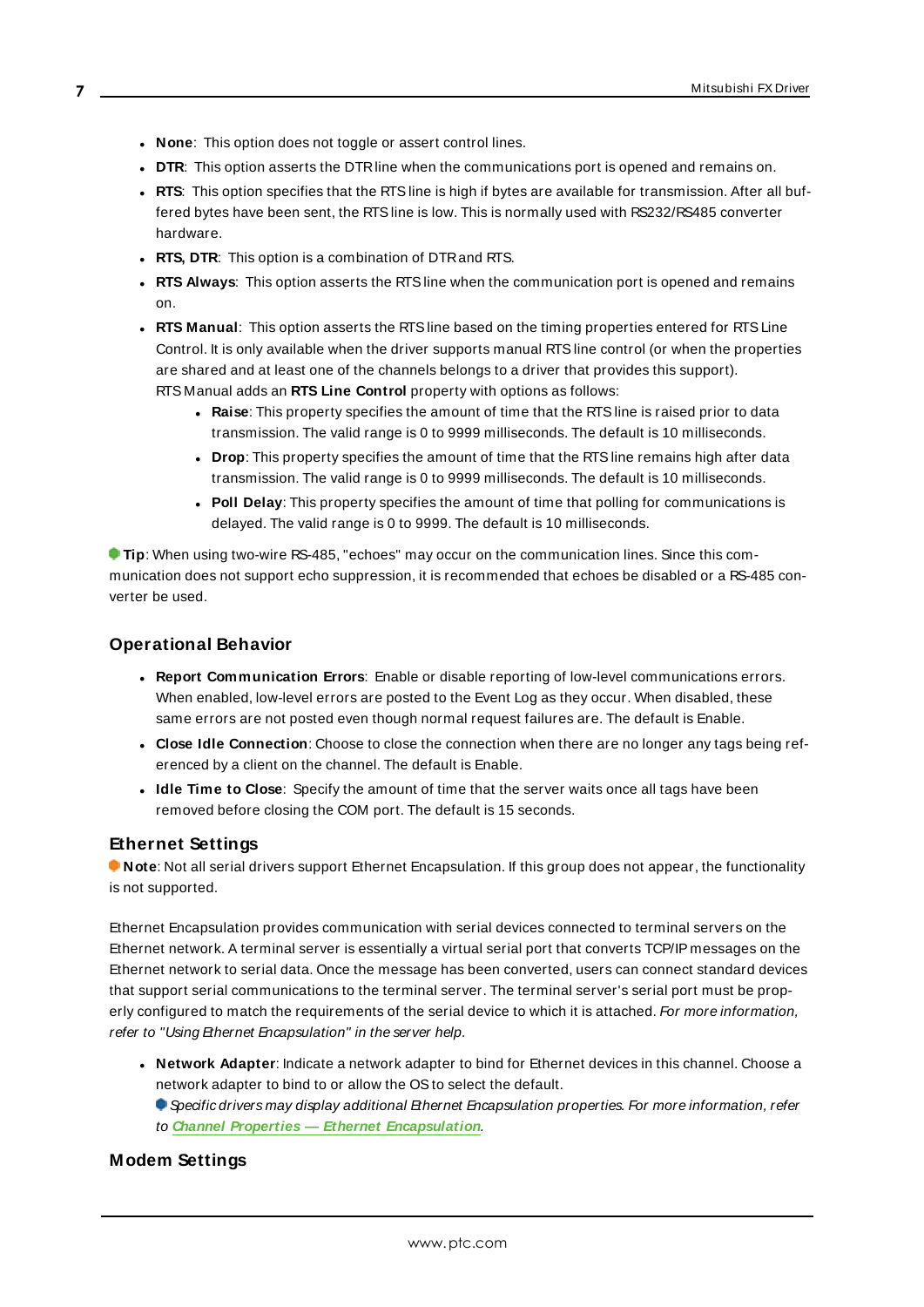- **None:** This option does not toggle or assert control lines.
- **DTR:** This option asserts the DTR line when the communications port is opened and remains on.
- RTS: This option specifies that the RTS line is high if bytes are available for transmission. After all buffered bytes have been sent, the RTSline is low. This is normally used with RS232/RS485 converter hardware.
- **RTS, DTR:** This option is a combination of DTR and RTS.
- <sup>l</sup> **RTS Always**: This option asserts the RTSline when the communication port is opened and remains on.
- <sup>l</sup> **RTS Manual**: This option asserts the RTSline based on the timing properties entered for RTSLine Control. It is only available when the driver supports manual RTSline control (or when the properties are shared and at least one of the channels belongs to a driver that provides this support). RTS Manual adds an **RTS Line Control** property with options as follows:
	- **Raise**: This property specifies the amount of time that the RTS line is raised prior to data transmission. The valid range is 0 to 9999 milliseconds. The default is 10 milliseconds.
	- **Drop**: This property specifies the amount of time that the RTS line remains high after data transmission. The valid range is 0 to 9999 milliseconds. The default is 10 milliseconds.
	- **Poll Delay:** This property specifies the amount of time that polling for communications is delayed. The valid range is 0 to 9999. The default is 10 milliseconds.

**Tip**: When using two-wire RS-485, "echoes" may occur on the communication lines. Since this communication does not support echo suppression, it is recommended that echoes be disabled or a RS-485 converter be used.

# <span id="page-6-1"></span>**Operational Behavior**

- <sup>l</sup> **Report Communication Errors**: Enable or disable reporting of low-level communications errors. When enabled, low-level errors are posted to the Event Log as they occur. When disabled, these same errors are not posted even though normal request failures are. The default is Enable.
- <sup>l</sup> **Close Idle Connection**: Choose to close the connection when there are no longer any tags being referenced by a client on the channel. The default is Enable.
- <sup>l</sup> **Idle Time to Close**: Specify the amount of time that the server waits once all tags have been removed before closing the COM port. The default is 15 seconds.

## <span id="page-6-0"></span>**Ethernet Settings**

**Note**: Not all serial drivers support Ethernet Encapsulation. If this group does not appear, the functionality is not supported.

Ethernet Encapsulation provides communication with serial devices connected to terminal servers on the Ethernet network. A terminal server is essentially a virtual serial port that converts TCP/IP messages on the Ethernet network to serial data. Once the message has been converted, users can connect standard devices that support serial communications to the terminal server. The terminal server's serial port must be properly configured to match the requirements of the serial device to which it is attached. For more information, refer to "Using Ethernet Encapsulation" in the server help.

- **.** Network Adapter: Indicate a network adapter to bind for Ethernet devices in this channel. Choose a network adapter to bind to or allow the OSto select the default.
	- Specific drivers may display additional Ethernet Encapsulation properties. For more information, refer to **Channel Properties — Ethernet Encapsulation**.

## <span id="page-6-2"></span>**Modem Settings**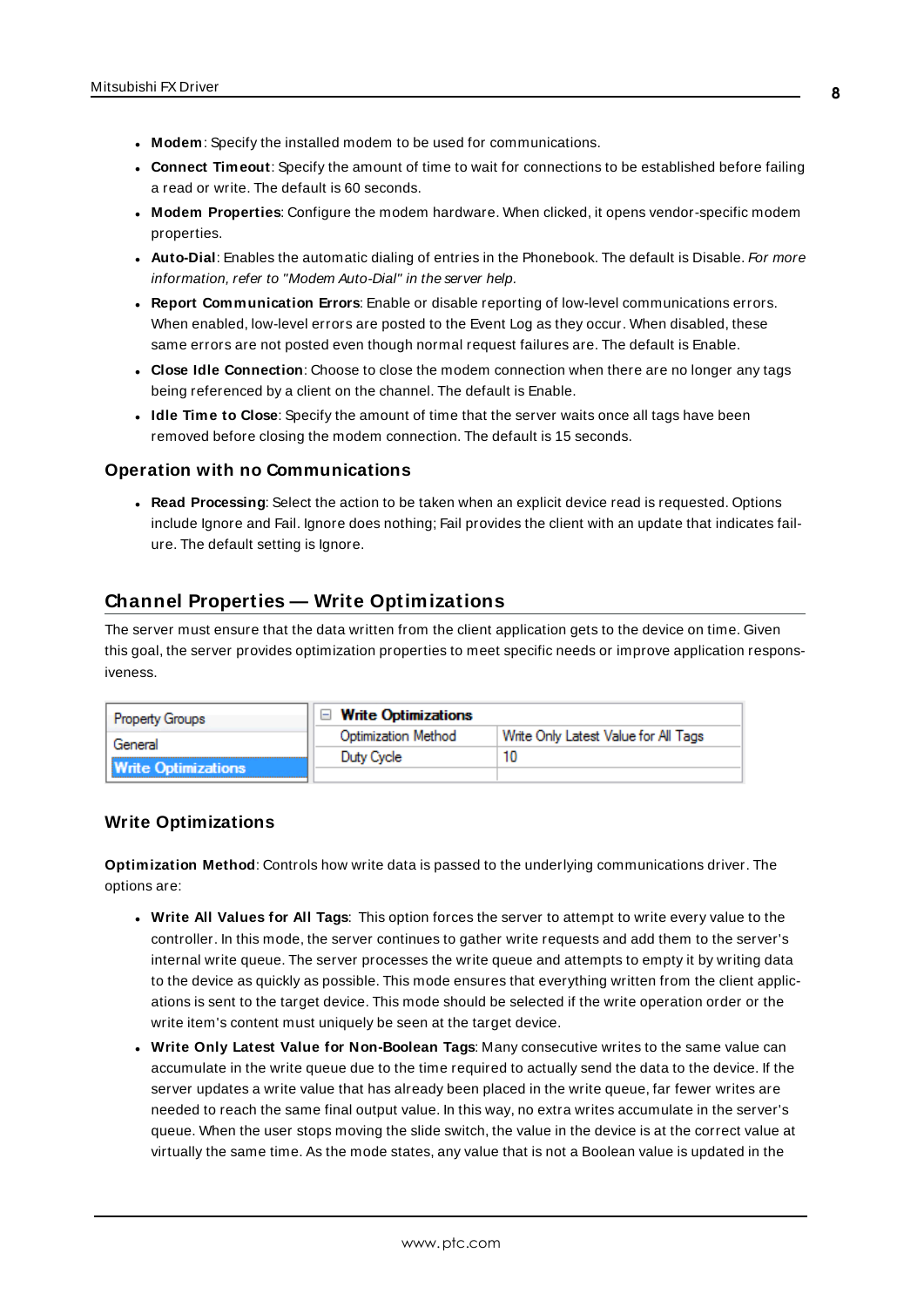- **Modem**: Specify the installed modem to be used for communications.
- **Connect Timeout**: Specify the amount of time to wait for connections to be established before failing a read or write. The default is 60 seconds.
- <sup>l</sup> **Modem Properties**: Configure the modem hardware. When clicked, it opens vendor-specific modem properties.
- **Auto-Dial**: Enables the automatic dialing of entries in the Phonebook. The default is Disable. For more information, refer to "Modem Auto-Dial" in the server help.
- <sup>l</sup> **Report Communication Errors**: Enable or disable reporting of low-level communications errors. When enabled, low-level errors are posted to the Event Log as they occur. When disabled, these same errors are not posted even though normal request failures are. The default is Enable.
- **Close Idle Connection**: Choose to close the modem connection when there are no longer any tags being referenced by a client on the channel. The default is Enable.
- <sup>l</sup> **Idle Time to Close**: Specify the amount of time that the server waits once all tags have been removed before closing the modem connection. The default is 15 seconds.

#### <span id="page-7-1"></span>**Operation with no Communications**

**Read Processing**: Select the action to be taken when an explicit device read is requested. Options include Ignore and Fail. Ignore does nothing; Fail provides the client with an update that indicates failure. The default setting is Ignore.

# <span id="page-7-0"></span>**Channel Properties — Write Optimizations**

The server must ensure that the data written from the client application gets to the device on time. Given this goal, the server provides optimization properties to meet specific needs or improve application responsiveness.

| <b>Property Groups</b>     | □ Write Optimizations |                                      |
|----------------------------|-----------------------|--------------------------------------|
| General                    | Optimization Method   | Write Only Latest Value for All Tags |
|                            | Duty Cycle            |                                      |
| <b>Write Optimizations</b> |                       |                                      |

# **Write Optimizations**

**Optimization Method**: Controls how write data is passed to the underlying communications driver. The options are:

- <sup>l</sup> **Write All Values for All Tags**: This option forces the server to attempt to write every value to the controller. In this mode, the server continues to gather write requests and add them to the server's internal write queue. The server processes the write queue and attempts to empty it by writing data to the device as quickly as possible. This mode ensures that everything written from the client applications is sent to the target device. This mode should be selected if the write operation order or the write item's content must uniquely be seen at the target device.
- <sup>l</sup> **Write Only Latest Value for Non-Boolean Tags**: Many consecutive writes to the same value can accumulate in the write queue due to the time required to actually send the data to the device. If the server updates a write value that has already been placed in the write queue, far fewer writes are needed to reach the same final output value. In this way, no extra writes accumulate in the server's queue. When the user stops moving the slide switch, the value in the device is at the correct value at virtually the same time. As the mode states, any value that is not a Boolean value is updated in the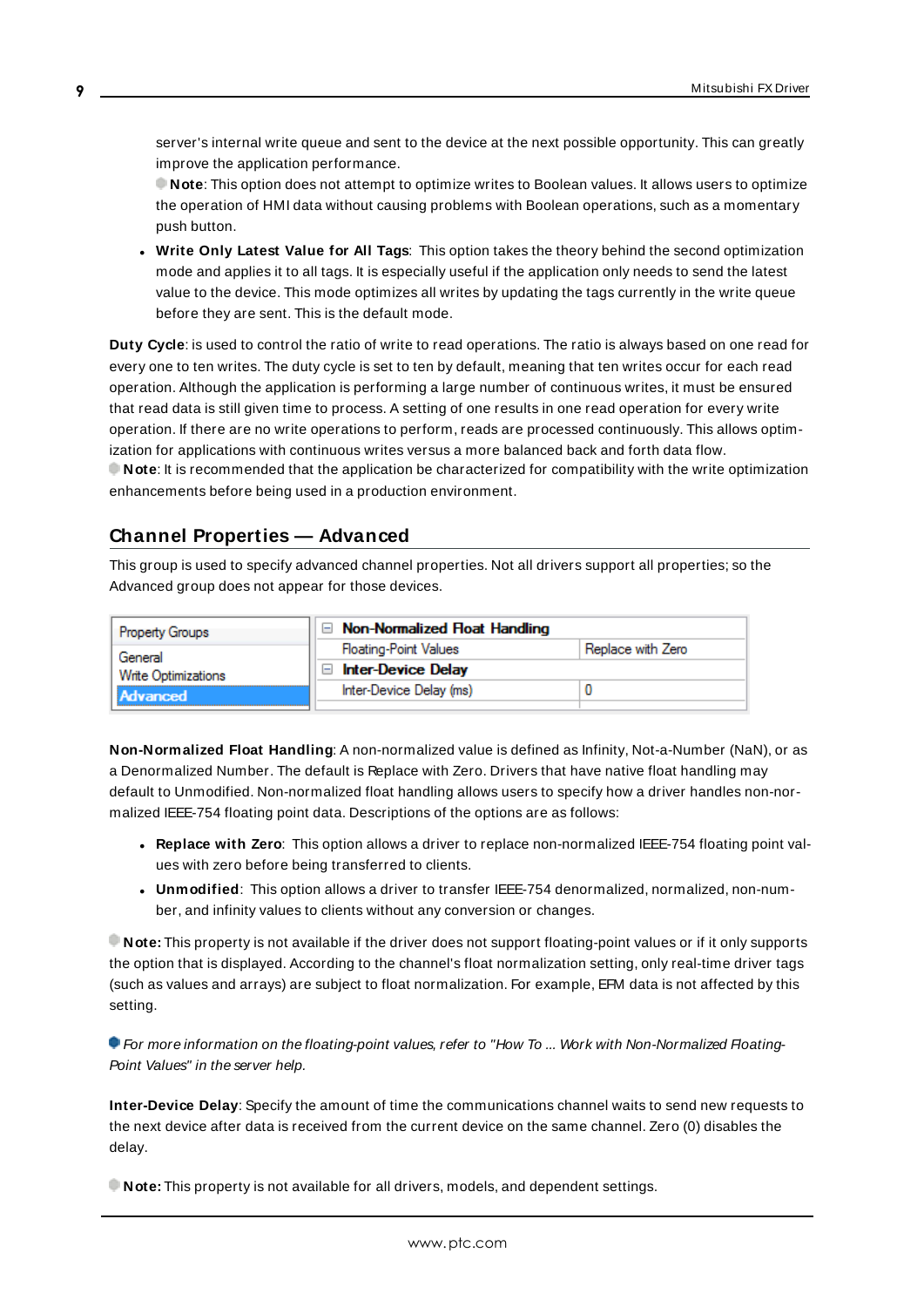server's internal write queue and sent to the device at the next possible opportunity. This can greatly improve the application performance.

**Note**: This option does not attempt to optimize writes to Boolean values. It allows users to optimize the operation of HMI data without causing problems with Boolean operations, such as a momentary push button.

**• Write Only Latest Value for All Tags**: This option takes the theory behind the second optimization mode and applies it to all tags. It is especially useful if the application only needs to send the latest value to the device. This mode optimizes all writes by updating the tags currently in the write queue before they are sent. This is the default mode.

**Duty Cycle**: is used to control the ratio of write to read operations. The ratio is always based on one read for every one to ten writes. The duty cycle is set to ten by default, meaning that ten writes occur for each read operation. Although the application is performing a large number of continuous writes, it must be ensured that read data is still given time to process. A setting of one results in one read operation for every write operation. If there are no write operations to perform, reads are processed continuously. This allows optimization for applications with continuous writes versus a more balanced back and forth data flow. **Note**: It is recommended that the application be characterized for compatibility with the write optimization enhancements before being used in a production environment.

# <span id="page-8-0"></span>**Channel Properties — Advanced**

This group is used to specify advanced channel properties. Not all drivers support all properties; so the Advanced group does not appear for those devices.

| <b>Property Groups</b> | Non-Normalized Float Handling |                   |
|------------------------|-------------------------------|-------------------|
| General                | <b>Floating-Point Values</b>  | Replace with Zero |
| Write Optimizations    | <b>Inter-Device Delay</b>     |                   |
| Advanced               | Inter-Device Delay (ms)       |                   |
|                        |                               |                   |

**Non-Normalized Float Handling**: A non-normalized value is defined as Infinity, Not-a-Number (NaN), or as a Denormalized Number. The default is Replace with Zero. Drivers that have native float handling may default to Unmodified. Non-normalized float handling allows users to specify how a driver handles non-normalized IEEE-754 floating point data. Descriptions of the options are as follows:

- <sup>l</sup> **Replace with Zero**: This option allows a driver to replace non-normalized IEEE-754 floating point values with zero before being transferred to clients.
- <sup>l</sup> **Unmodified**: This option allows a driver to transfer IEEE-754 denormalized, normalized, non-number, and infinity values to clients without any conversion or changes.

**Note:** This property is not available if the driver does not support floating-point values or if it only supports the option that is displayed. According to the channel's float normalization setting, only real-time driver tags (such as values and arrays) are subject to float normalization. For example, EFM data is not affected by this setting.

For more information on the floating-point values, refer to "How To ... Work with Non-Normalized Floating-Point Values" in the server help.

**Inter-Device Delay**: Specify the amount of time the communications channel waits to send new requests to the next device after data is received from the current device on the same channel. Zero (0) disables the delay.

**Note:** This property is not available for all drivers, models, and dependent settings.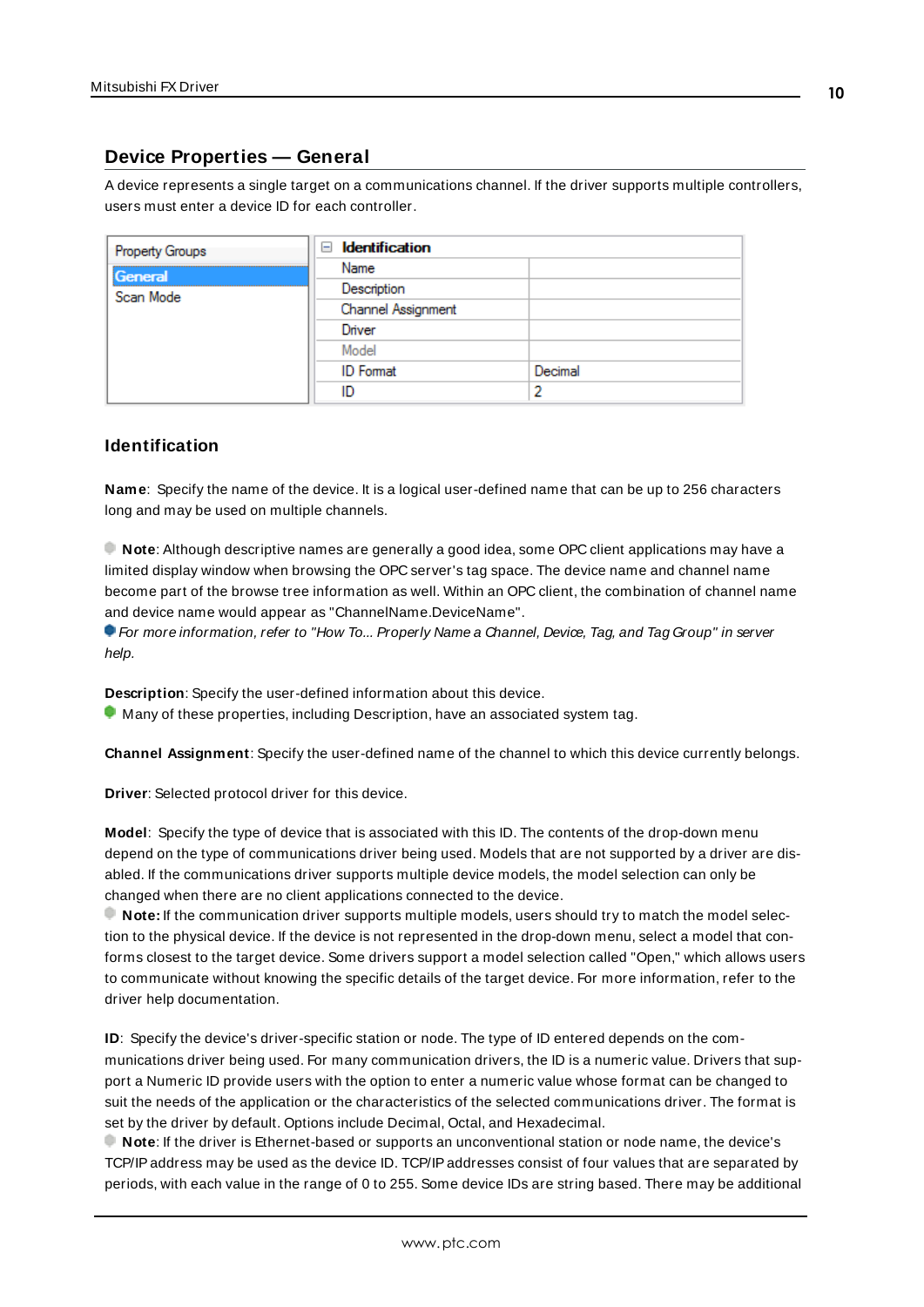# <span id="page-9-0"></span>**Device Properties — General**

A device represents a single target on a communications channel. If the driver supports multiple controllers, users must enter a device ID for each controller.

| <b>Property Groups</b> | <b>Identification</b><br>$-$ |         |
|------------------------|------------------------------|---------|
| General                | Name                         |         |
| Scan Mode              | Description                  |         |
|                        | Channel Assignment           |         |
|                        | Driver                       |         |
|                        | Model                        |         |
|                        | <b>ID</b> Format             | Decimal |
|                        | ID                           |         |

# <span id="page-9-5"></span>**Identification**

**Name**: Specify the name of the device. It is a logical user-defined name that can be up to 256 characters long and may be used on multiple channels.

**Note**: Although descriptive names are generally a good idea, some OPC client applications may have a limited display window when browsing the OPC server's tag space. The device name and channel name become part of the browse tree information as well. Within an OPC client, the combination of channel name and device name would appear as "ChannelName.DeviceName".

For more information, refer to "How To... Properly Name a Channel, Device, Tag, and Tag Group" in server help.

**Description**: Specify the user-defined information about this device.

<span id="page-9-1"></span> $\bullet$  Many of these properties, including Description, have an associated system tag.

<span id="page-9-2"></span>**Channel Assignment**: Specify the user-defined name of the channel to which this device currently belongs.

<span id="page-9-4"></span>**Driver**: Selected protocol driver for this device.

**Model**: Specify the type of device that is associated with this ID. The contents of the drop-down menu depend on the type of communications driver being used. Models that are not supported by a driver are disabled. If the communications driver supports multiple device models, the model selection can only be changed when there are no client applications connected to the device.

**Note:** If the communication driver supports multiple models, users should try to match the model selection to the physical device. If the device is not represented in the drop-down menu, select a model that conforms closest to the target device. Some drivers support a model selection called "Open," which allows users to communicate without knowing the specific details of the target device. For more information, refer to the driver help documentation.

<span id="page-9-3"></span>**ID**: Specify the device's driver-specific station or node. The type of ID entered depends on the communications driver being used. For many communication drivers, the ID is a numeric value. Drivers that support a Numeric ID provide users with the option to enter a numeric value whose format can be changed to suit the needs of the application or the characteristics of the selected communications driver. The format is set by the driver by default. Options include Decimal, Octal, and Hexadecimal.

**Note**: If the driver is Ethernet-based or supports an unconventional station or node name, the device's TCP/IPaddress may be used as the device ID. TCP/IPaddresses consist of four values that are separated by periods, with each value in the range of 0 to 255. Some device IDs are string based. There may be additional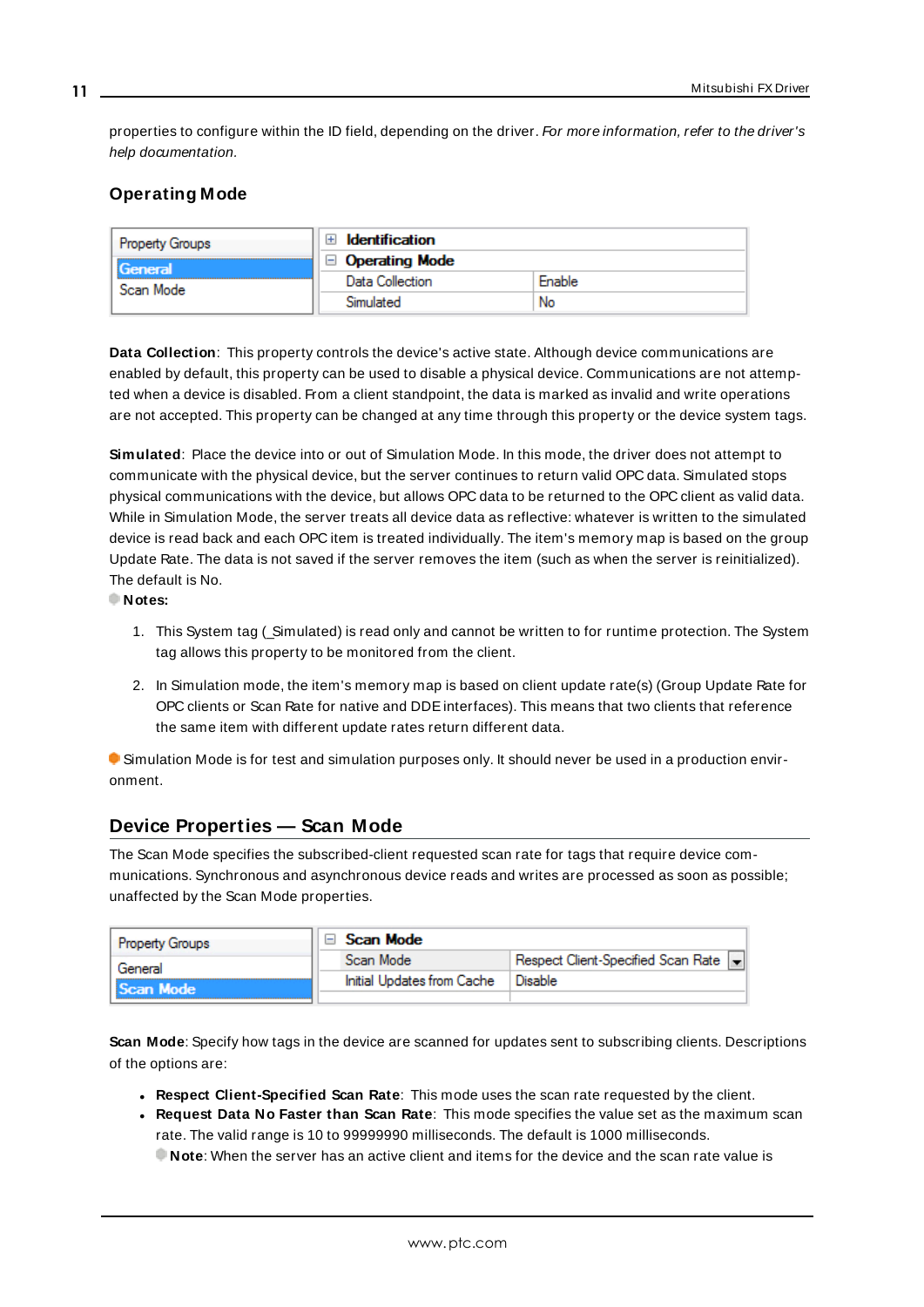properties to configure within the ID field, depending on the driver. For more information, refer to the driver's help documentation.

# <span id="page-10-0"></span>**Operating Mode**

| <b>Property Groups</b><br>General | Identification        |        |
|-----------------------------------|-----------------------|--------|
|                                   | $\Box$ Operating Mode |        |
| Scan Mode                         | Data Collection       | Enable |
|                                   | Simulated             | No     |

<span id="page-10-2"></span>**Data Collection**: This property controls the device's active state. Although device communications are enabled by default, this property can be used to disable a physical device. Communications are not attempted when a device is disabled. From a client standpoint, the data is marked as invalid and write operations are not accepted. This property can be changed at any time through this property or the device system tags.

<span id="page-10-4"></span>**Simulated**: Place the device into or out of Simulation Mode. In this mode, the driver does not attempt to communicate with the physical device, but the server continues to return valid OPC data. Simulated stops physical communications with the device, but allows OPC data to be returned to the OPC client as valid data. While in Simulation Mode, the server treats all device data as reflective: whatever is written to the simulated device is read back and each OPC item is treated individually. The item's memory map is based on the group Update Rate. The data is not saved if the server removes the item (such as when the server is reinitialized). The default is No.

**Notes:**

- 1. This System tag (Simulated) is read only and cannot be written to for runtime protection. The System tag allows this property to be monitored from the client.
- 2. In Simulation mode, the item's memory map is based on client update rate(s) (Group Update Rate for OPC clients or Scan Rate for native and DDEinterfaces). This means that two clients that reference the same item with different update rates return different data.

 Simulation Mode is for test and simulation purposes only. It should never be used in a production environment.

# <span id="page-10-1"></span>**Device Properties — Scan Mode**

The Scan Mode specifies the subscribed-client requested scan rate for tags that require device communications. Synchronous and asynchronous device reads and writes are processed as soon as possible; unaffected by the Scan Mode properties.

| <b>Property Groups</b> | Scan Mode                  |                                      |
|------------------------|----------------------------|--------------------------------------|
| General                | Scan Mode                  | Respect Client-Specified Scan Rate v |
| Scan Mode              | Initial Updates from Cache | Disable                              |
|                        |                            |                                      |

<span id="page-10-3"></span>**Scan Mode**: Specify how tags in the device are scanned for updates sent to subscribing clients. Descriptions of the options are:

- <sup>l</sup> **Respect Client-Specified Scan Rate**: This mode uses the scan rate requested by the client.
- <sup>l</sup> **Request Data No Faster than Scan Rate**: This mode specifies the value set as the maximum scan rate. The valid range is 10 to 99999990 milliseconds. The default is 1000 milliseconds.

**Note**: When the server has an active client and items for the device and the scan rate value is

**11**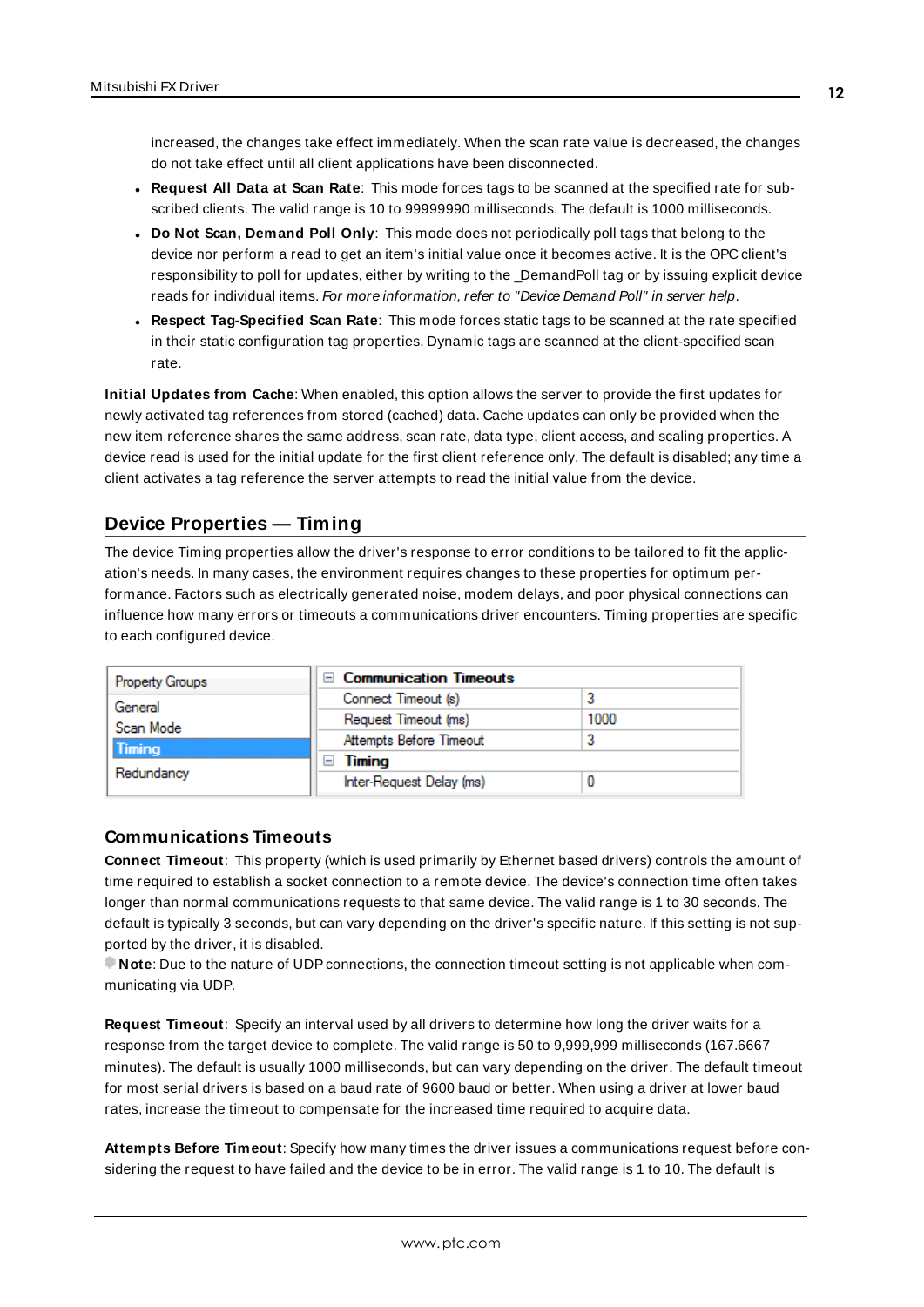increased, the changes take effect immediately. When the scan rate value is decreased, the changes do not take effect until all client applications have been disconnected.

- <span id="page-11-3"></span><sup>l</sup> **Request All Data at Scan Rate**: This mode forces tags to be scanned at the specified rate for subscribed clients. The valid range is 10 to 99999990 milliseconds. The default is 1000 milliseconds.
- <sup>l</sup> **Do Not Scan, Demand Poll Only**: This mode does not periodically poll tags that belong to the device nor perform a read to get an item's initial value once it becomes active. It is the OPC client's responsibility to poll for updates, either by writing to the \_DemandPoll tag or by issuing explicit device reads for individual items. For more information, refer to "Device Demand Poll" in server help.
- <span id="page-11-6"></span><sup>l</sup> **Respect Tag-Specified Scan Rate**: This mode forces static tags to be scanned at the rate specified in their static configuration tag properties. Dynamic tags are scanned at the client-specified scan rate.

<span id="page-11-4"></span>**Initial Updates from Cache**: When enabled, this option allows the server to provide the first updates for newly activated tag references from stored (cached) data. Cache updates can only be provided when the new item reference shares the same address, scan rate, data type, client access, and scaling properties. A device read is used for the initial update for the first client reference only. The default is disabled; any time a client activates a tag reference the server attempts to read the initial value from the device.

# <span id="page-11-1"></span><span id="page-11-0"></span>**Device Properties — Timing**

The device Timing properties allow the driver's response to error conditions to be tailored to fit the application's needs. In many cases, the environment requires changes to these properties for optimum performance. Factors such as electrically generated noise, modem delays, and poor physical connections can influence how many errors or timeouts a communications driver encounters. Timing properties are specific to each configured device.

| <b>Property Groups</b> | □ Communication Timeouts |      |
|------------------------|--------------------------|------|
| General                | Connect Timeout (s)      |      |
| Scan Mode              | Request Timeout (ms)     | 1000 |
| <b>Timing</b>          | Attempts Before Timeout  |      |
| Redundancy             | Timing                   |      |
|                        | Inter-Request Delay (ms) |      |

## <span id="page-11-2"></span>**Communications Timeouts**

**Connect Timeout**: This property (which is used primarily by Ethernet based drivers) controls the amount of time required to establish a socket connection to a remote device. The device's connection time often takes longer than normal communications requests to that same device. The valid range is 1 to 30 seconds. The default is typically 3 seconds, but can vary depending on the driver's specific nature. If this setting is not supported by the driver, it is disabled.

**Note:** Due to the nature of UDP connections, the connection timeout setting is not applicable when communicating via UDP.

<span id="page-11-5"></span>**Request Timeout**: Specify an interval used by all drivers to determine how long the driver waits for a response from the target device to complete. The valid range is 50 to 9,999,999 milliseconds (167.6667 minutes). The default is usually 1000 milliseconds, but can vary depending on the driver. The default timeout for most serial drivers is based on a baud rate of 9600 baud or better. When using a driver at lower baud rates, increase the timeout to compensate for the increased time required to acquire data.

**Attempts Before Timeout**: Specify how many times the driver issues a communications request before considering the request to have failed and the device to be in error. The valid range is 1 to 10. The default is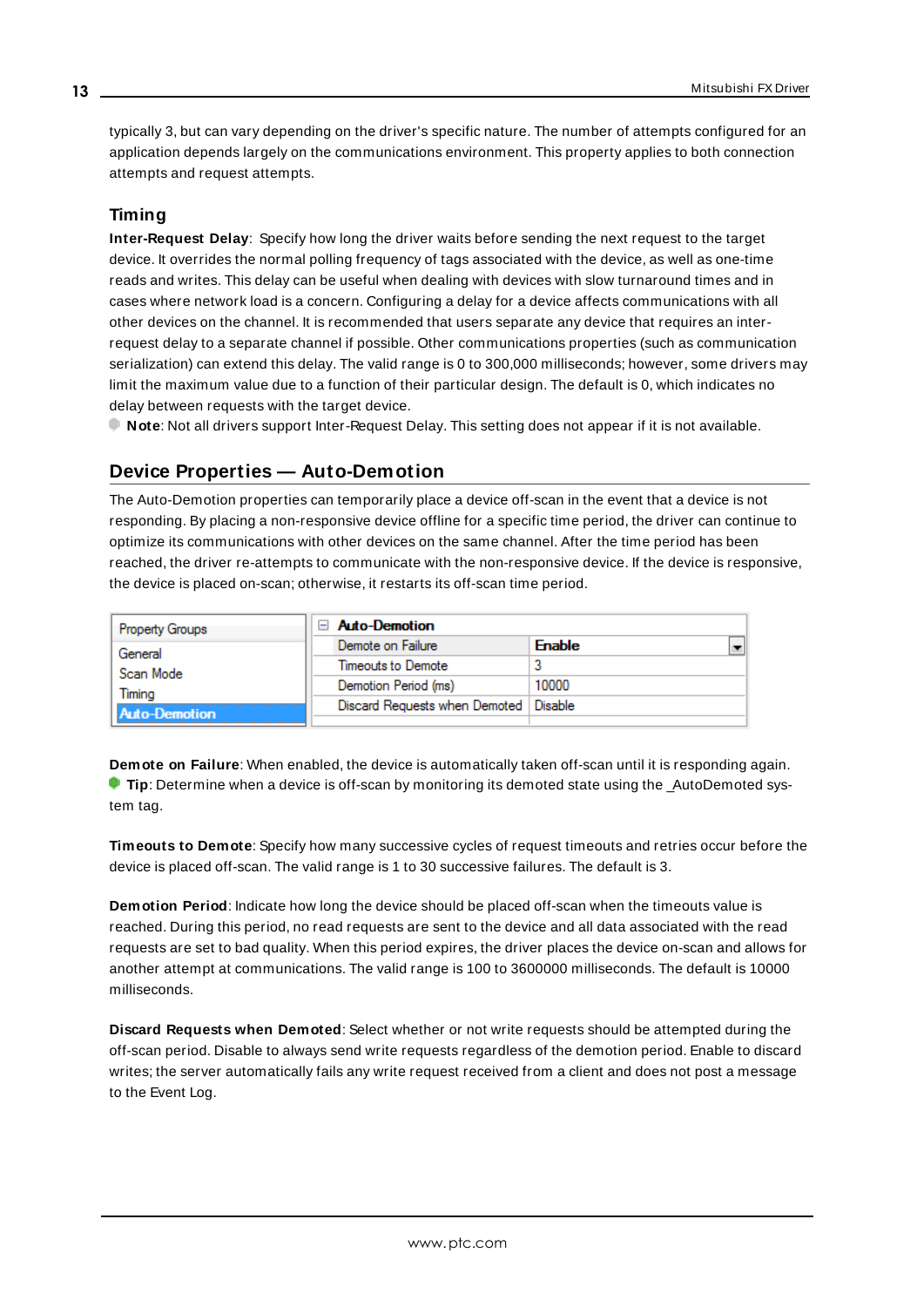<span id="page-12-1"></span>typically 3, but can vary depending on the driver's specific nature. The number of attempts configured for an application depends largely on the communications environment. This property applies to both connection attempts and request attempts.

# <span id="page-12-5"></span>**Timing**

**Inter-Request Delay**: Specify how long the driver waits before sending the next request to the target device. It overrides the normal polling frequency of tags associated with the device, as well as one-time reads and writes. This delay can be useful when dealing with devices with slow turnaround times and in cases where network load is a concern. Configuring a delay for a device affects communications with all other devices on the channel. It is recommended that users separate any device that requires an interrequest delay to a separate channel if possible. Other communications properties (such as communication serialization) can extend this delay. The valid range is 0 to 300,000 milliseconds; however, some drivers may limit the maximum value due to a function of their particular design. The default is 0, which indicates no delay between requests with the target device.

<span id="page-12-0"></span>**Note**: Not all drivers support Inter-Request Delay. This setting does not appear if it is not available.

# **Device Properties — Auto-Demotion**

The Auto-Demotion properties can temporarily place a device off-scan in the event that a device is not responding. By placing a non-responsive device offline for a specific time period, the driver can continue to optimize its communications with other devices on the same channel. After the time period has been reached, the driver re-attempts to communicate with the non-responsive device. If the device is responsive, the device is placed on-scan; otherwise, it restarts its off-scan time period.

| <b>Property Groups</b> | $\Box$ Auto-Demotion                    |               |  |
|------------------------|-----------------------------------------|---------------|--|
| General                | Demote on Failure                       | <b>Enable</b> |  |
| Scan Mode              | Timeouts to Demote                      |               |  |
| Timina                 | Demotion Period (ms)                    | 10000         |  |
| <b>Auto-Demotion</b>   | Discard Requests when Demoted   Disable |               |  |
|                        |                                         |               |  |

<span id="page-12-2"></span>**Demote on Failure**: When enabled, the device is automatically taken off-scan until it is responding again. **Tip:** Determine when a device is off-scan by monitoring its demoted state using the \_AutoDemoted system tag.

<span id="page-12-6"></span>**Timeouts to Demote**: Specify how many successive cycles of request timeouts and retries occur before the device is placed off-scan. The valid range is 1 to 30 successive failures. The default is 3.

<span id="page-12-3"></span>**Demotion Period**: Indicate how long the device should be placed off-scan when the timeouts value is reached. During this period, no read requests are sent to the device and all data associated with the read requests are set to bad quality. When this period expires, the driver places the device on-scan and allows for another attempt at communications. The valid range is 100 to 3600000 milliseconds. The default is 10000 milliseconds.

<span id="page-12-4"></span>**Discard Requests when Demoted**: Select whether or not write requests should be attempted during the off-scan period. Disable to always send write requests regardless of the demotion period. Enable to discard writes; the server automatically fails any write request received from a client and does not post a message to the Event Log.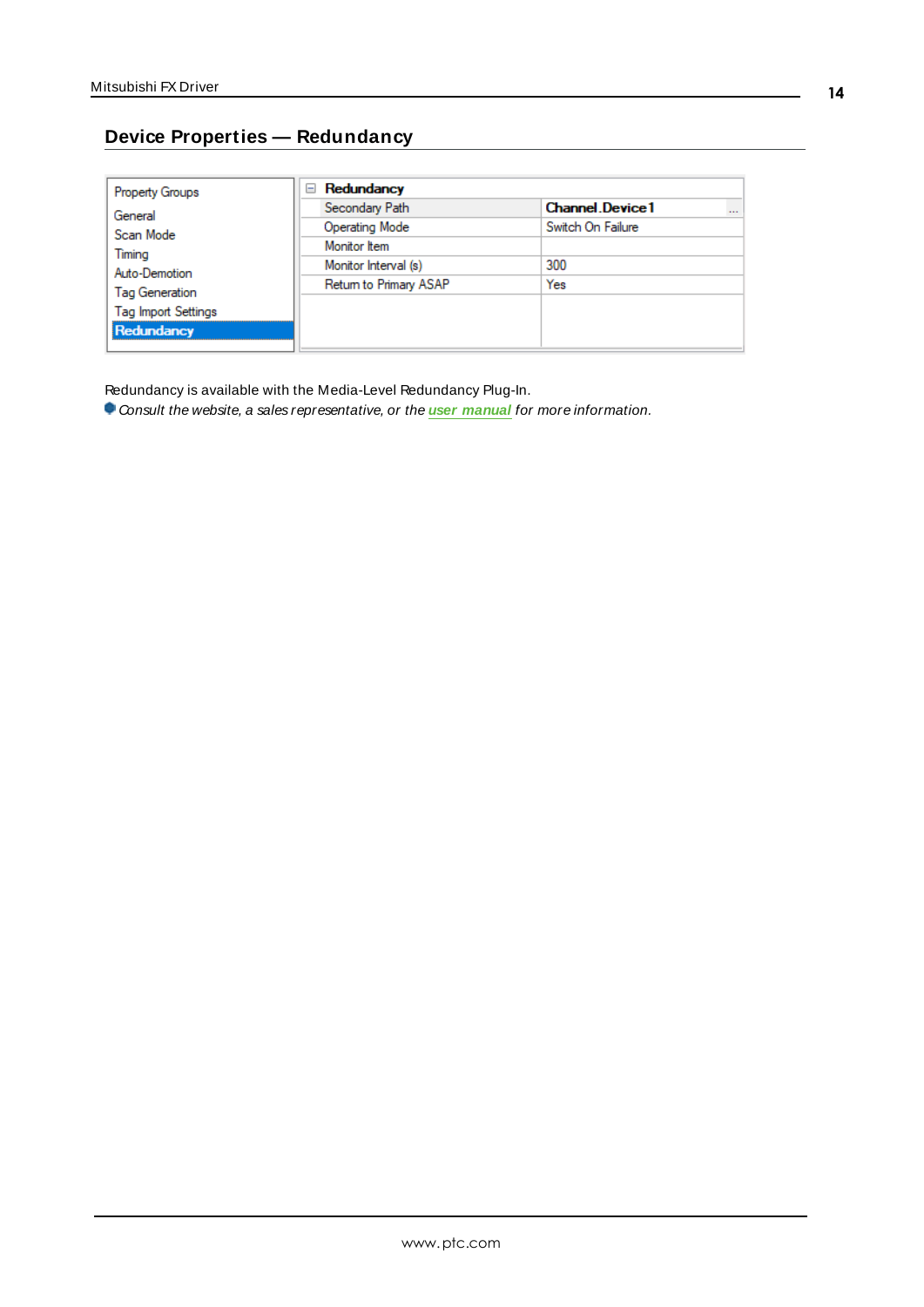# <span id="page-13-0"></span>**Device Properties — Redundancy**

| <b>Property Groups</b>     | Redundancy<br>$=$      |                                    |
|----------------------------|------------------------|------------------------------------|
| General                    | Secondary Path         | <b>Channel</b> Device1<br>$\cdots$ |
| Scan Mode                  | <b>Operating Mode</b>  | Switch On Failure                  |
| Timing                     | Monitor Item           |                                    |
| Auto-Demotion              | Monitor Interval (s)   | 300                                |
| Tag Generation             | Return to Primary ASAP | Yes                                |
| <b>Tag Import Settings</b> |                        |                                    |
|                            |                        |                                    |
| Redundancy                 |                        |                                    |

Redundancy is available with the Media-Level Redundancy Plug-In.

Consult the website, a sales representative, or the **user [manual](https://www.kepware.com/getattachment/35461efd-b53a-4219-a109-a89fad20b230/media-level-redundancy-manual.pdf)** for more information.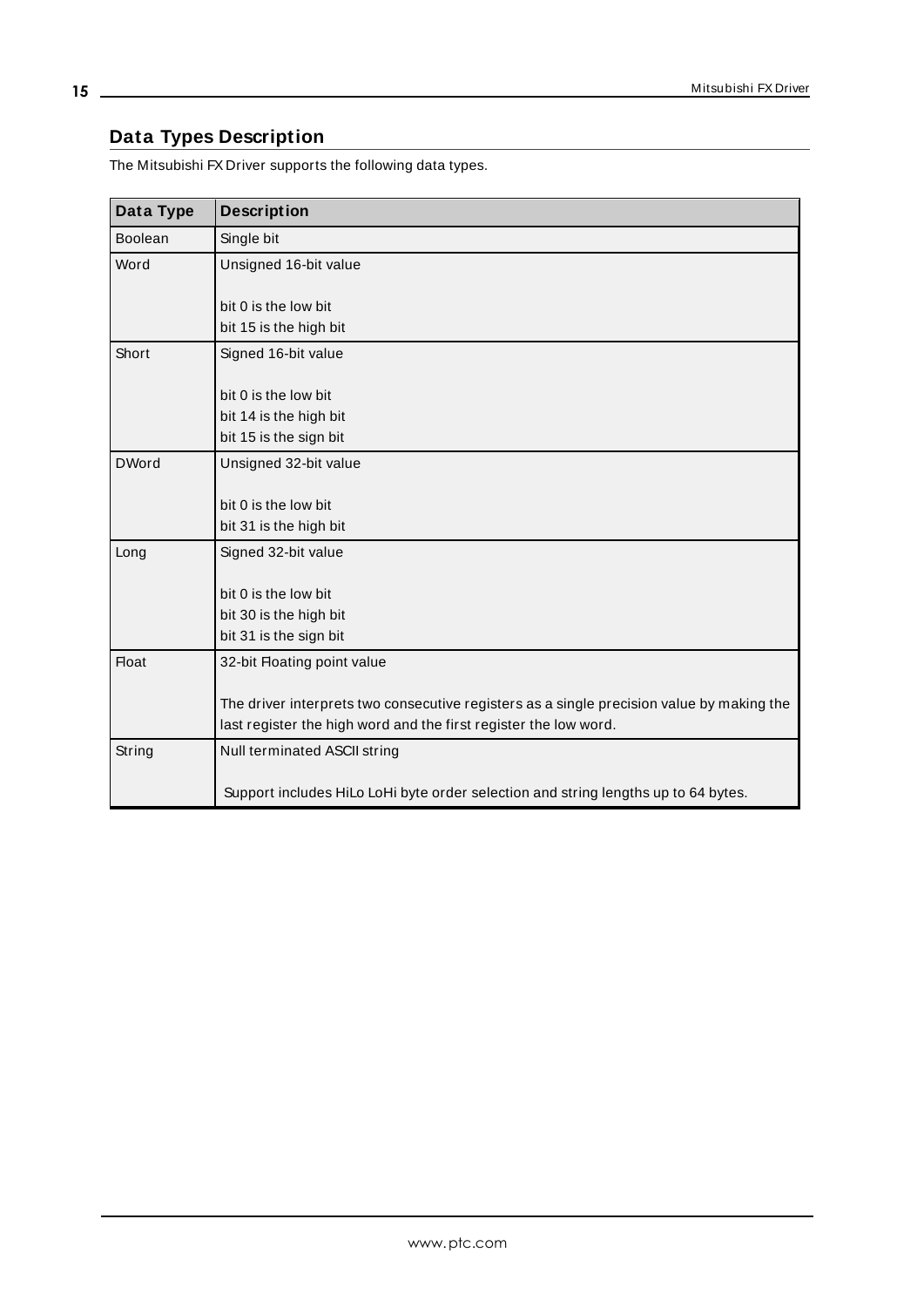# <span id="page-14-0"></span>**Data Types Description**

The Mitsubishi FX Driver supports the following data types.

<span id="page-14-7"></span><span id="page-14-6"></span><span id="page-14-5"></span><span id="page-14-4"></span><span id="page-14-3"></span><span id="page-14-2"></span><span id="page-14-1"></span>

| Data Type      | <b>Description</b>                                                                        |
|----------------|-------------------------------------------------------------------------------------------|
| <b>Boolean</b> | Single bit                                                                                |
| Word           | Unsigned 16-bit value                                                                     |
|                |                                                                                           |
|                | bit 0 is the low bit                                                                      |
|                | bit 15 is the high bit                                                                    |
| Short          | Signed 16-bit value                                                                       |
|                |                                                                                           |
|                | bit 0 is the low bit                                                                      |
|                | bit 14 is the high bit<br>bit 15 is the sign bit                                          |
|                |                                                                                           |
| <b>DWord</b>   | Unsigned 32-bit value                                                                     |
|                | bit 0 is the low bit                                                                      |
|                | bit 31 is the high bit                                                                    |
| Long           | Signed 32-bit value                                                                       |
|                |                                                                                           |
|                | bit 0 is the low bit                                                                      |
|                | bit 30 is the high bit                                                                    |
|                | bit 31 is the sign bit                                                                    |
| <b>Float</b>   | 32-bit Floating point value                                                               |
|                |                                                                                           |
|                | The driver interprets two consecutive registers as a single precision value by making the |
|                | last register the high word and the first register the low word.                          |
| String         | Null terminated ASCII string                                                              |
|                |                                                                                           |
|                | Support includes HiLo LoHi byte order selection and string lengths up to 64 bytes.        |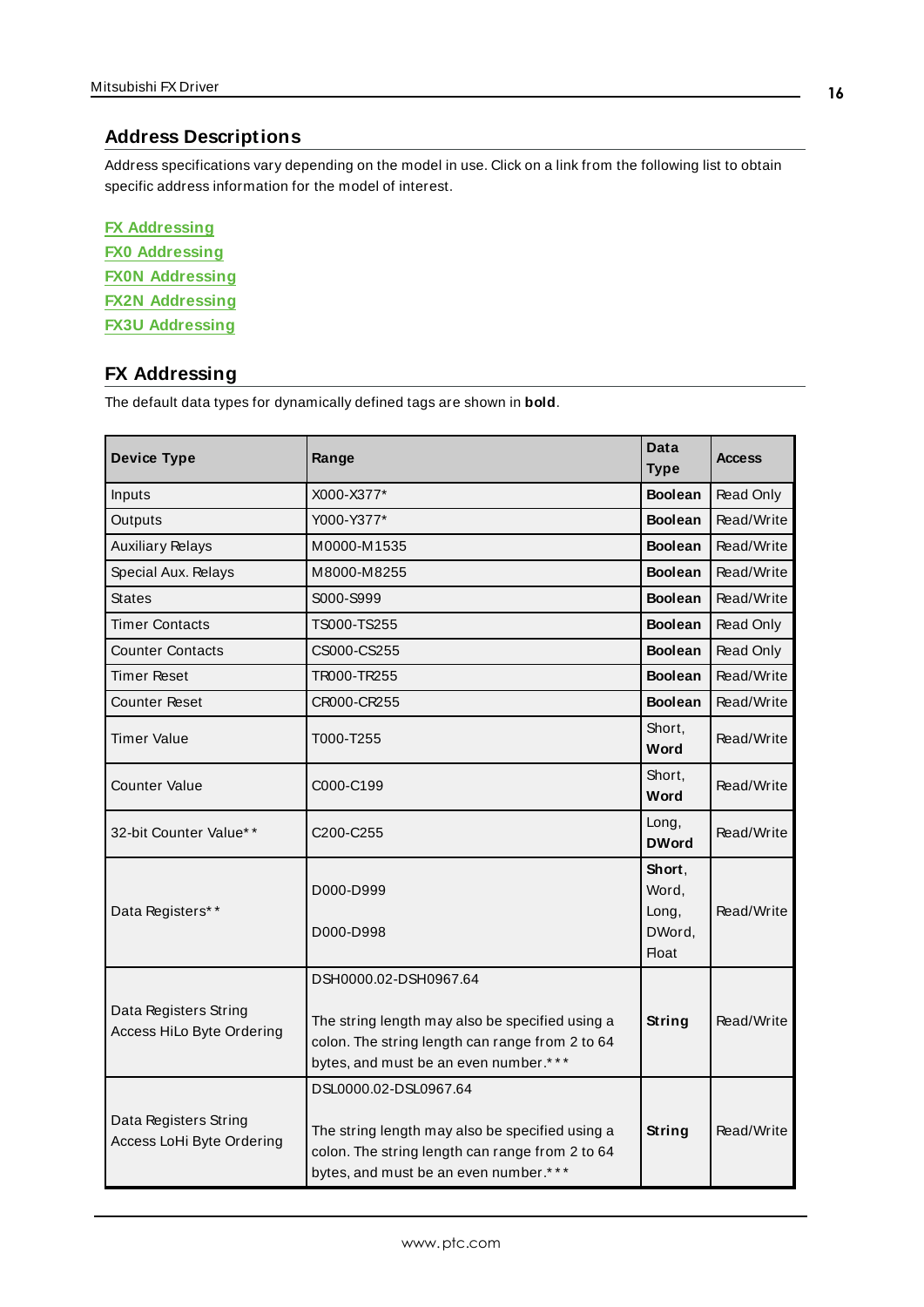# <span id="page-15-2"></span><span id="page-15-0"></span>**Address Descriptions**

Address specifications vary depending on the model in use. Click on a link from the following list to obtain specific address information for the model of interest.

| <b>FX Addressing</b>   |  |  |  |  |
|------------------------|--|--|--|--|
| <b>FX0 Addressing</b>  |  |  |  |  |
| <b>FX0N Addressing</b> |  |  |  |  |
| <b>FX2N Addressing</b> |  |  |  |  |
| <b>FX3U Addressing</b> |  |  |  |  |

# <span id="page-15-1"></span>**FX Addressing**

<span id="page-15-12"></span><span id="page-15-11"></span><span id="page-15-10"></span><span id="page-15-9"></span><span id="page-15-8"></span><span id="page-15-7"></span><span id="page-15-6"></span><span id="page-15-5"></span><span id="page-15-4"></span><span id="page-15-3"></span>

| <b>Device Type</b>                                 | Range                                                                                                                                                                | Data<br><b>Type</b>                                | <b>Access</b> |
|----------------------------------------------------|----------------------------------------------------------------------------------------------------------------------------------------------------------------------|----------------------------------------------------|---------------|
| Inputs                                             | X000-X377*                                                                                                                                                           | <b>Boolean</b>                                     | Read Only     |
| Outputs                                            | Y000-Y377*                                                                                                                                                           | <b>Boolean</b>                                     | Read/Write    |
| <b>Auxiliary Relays</b>                            | M0000-M1535                                                                                                                                                          | <b>Boolean</b>                                     | Read/Write    |
| Special Aux. Relays                                | M8000-M8255                                                                                                                                                          | <b>Boolean</b>                                     | Read/Write    |
| <b>States</b>                                      | S000-S999                                                                                                                                                            | <b>Boolean</b>                                     | Read/Write    |
| <b>Timer Contacts</b>                              | TS000-TS255                                                                                                                                                          | <b>Boolean</b>                                     | Read Only     |
| <b>Counter Contacts</b>                            | CS000-CS255                                                                                                                                                          | <b>Boolean</b>                                     | Read Only     |
| Timer Reset                                        | TR000-TR255                                                                                                                                                          | <b>Boolean</b>                                     | Read/Write    |
| <b>Counter Reset</b>                               | CR000-CR255                                                                                                                                                          | <b>Boolean</b>                                     | Read/Write    |
| Timer Value                                        | Short,<br>T000-T255<br>Word                                                                                                                                          |                                                    | Read/Write    |
| <b>Counter Value</b>                               | C000-C199                                                                                                                                                            | Short,<br>Word                                     | Read/Write    |
| 32-bit Counter Value**                             | C <sub>200</sub> -C <sub>255</sub>                                                                                                                                   | Long,<br><b>DWord</b>                              | Read/Write    |
| Data Registers**                                   | D000-D999<br>D000-D998                                                                                                                                               | Short.<br>Word,<br>Long,<br>DWord,<br><b>Float</b> | Read/Write    |
| Data Registers String<br>Access HiLo Byte Ordering | DSH0000.02-DSH0967.64<br>The string length may also be specified using a<br>colon. The string length can range from 2 to 64<br>bytes, and must be an even number.*** | String                                             | Read/Write    |
| Data Registers String<br>Access LoHi Byte Ordering | DSL0000.02-DSL0967.64<br>The string length may also be specified using a<br>colon. The string length can range from 2 to 64<br>bytes, and must be an even number.*** | <b>String</b>                                      | Read/Write    |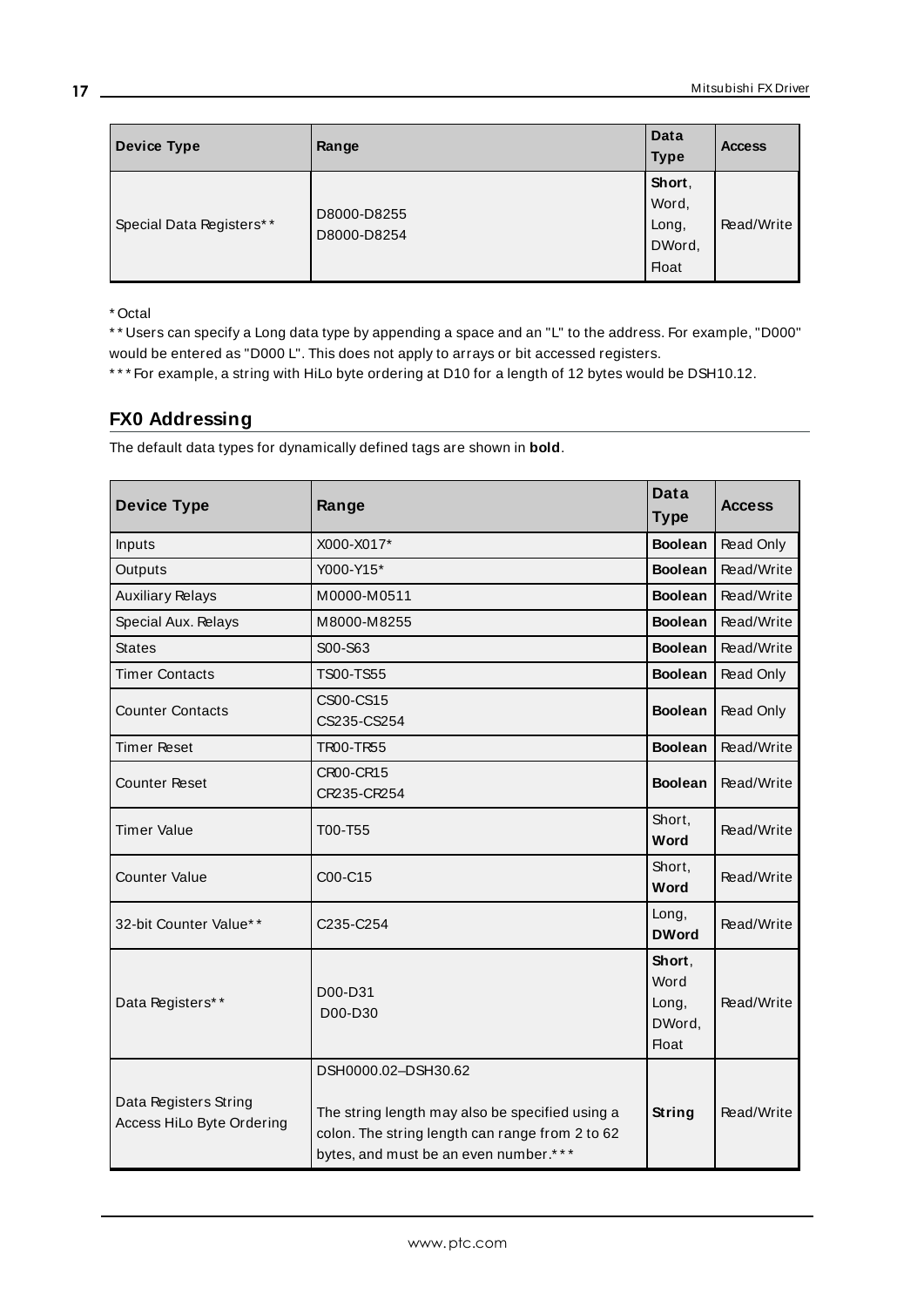| <b>Device Type</b>       | Range                      | Data<br><b>Type</b>                                | <b>Access</b> |
|--------------------------|----------------------------|----------------------------------------------------|---------------|
| Special Data Registers** | D8000-D8255<br>D8000-D8254 | Short,<br>Word,<br>Long,<br>DWord,<br><b>Float</b> | Read/Write    |

\* \* Users can specify a Long data type by appending a space and an "L" to the address. For example, "D000" would be entered as "D000 L". This does not apply to arrays or bit accessed registers.

<span id="page-16-0"></span>\* \* \* For example, a string with HiLo byte ordering at D10 for a length of 12 bytes would be DSH10.12.

# **FX0 Addressing**

| <b>Device Type</b>                                 | Range                                                                                                                                                              | Data<br><b>Type</b>                               | <b>Access</b> |
|----------------------------------------------------|--------------------------------------------------------------------------------------------------------------------------------------------------------------------|---------------------------------------------------|---------------|
| Inputs                                             | X000-X017*                                                                                                                                                         | <b>Boolean</b>                                    | Read Only     |
| Outputs                                            | Y000-Y15*                                                                                                                                                          | <b>Boolean</b>                                    | Read/Write    |
| <b>Auxiliary Relays</b>                            | M0000-M0511                                                                                                                                                        | <b>Boolean</b>                                    | Read/Write    |
| Special Aux. Relays                                | M8000-M8255                                                                                                                                                        | <b>Boolean</b>                                    | Read/Write    |
| <b>States</b>                                      | S00-S63                                                                                                                                                            | <b>Boolean</b>                                    | Read/Write    |
| <b>Timer Contacts</b>                              | TS00-TS55                                                                                                                                                          | <b>Boolean</b>                                    | Read Only     |
| <b>Counter Contacts</b>                            | CS00-CS15<br>CS235-CS254                                                                                                                                           | <b>Boolean</b>                                    | Read Only     |
| <b>Timer Reset</b>                                 | <b>TR00-TR55</b>                                                                                                                                                   | <b>Boolean</b>                                    | Read/Write    |
| <b>Counter Reset</b>                               | CR00-CR15<br>CR235-CR254                                                                                                                                           | <b>Boolean</b>                                    | Read/Write    |
| <b>Timer Value</b>                                 | T00-T55                                                                                                                                                            | Short,<br>Word                                    | Read/Write    |
| <b>Counter Value</b>                               | C00-C15                                                                                                                                                            | Short,<br>Word                                    | Read/Write    |
| 32-bit Counter Value**                             | C235-C254                                                                                                                                                          | Long,<br><b>DWord</b>                             | Read/Write    |
| Data Registers**                                   | D00-D31<br>D00-D30                                                                                                                                                 | Short,<br>Word<br>Long,<br>DWord,<br><b>Float</b> | Read/Write    |
| Data Registers String<br>Access HiLo Byte Ordering | DSH0000.02-DSH30.62<br>The string length may also be specified using a<br>colon. The string length can range from 2 to 62<br>bytes, and must be an even number.*** | <b>String</b>                                     | Read/Write    |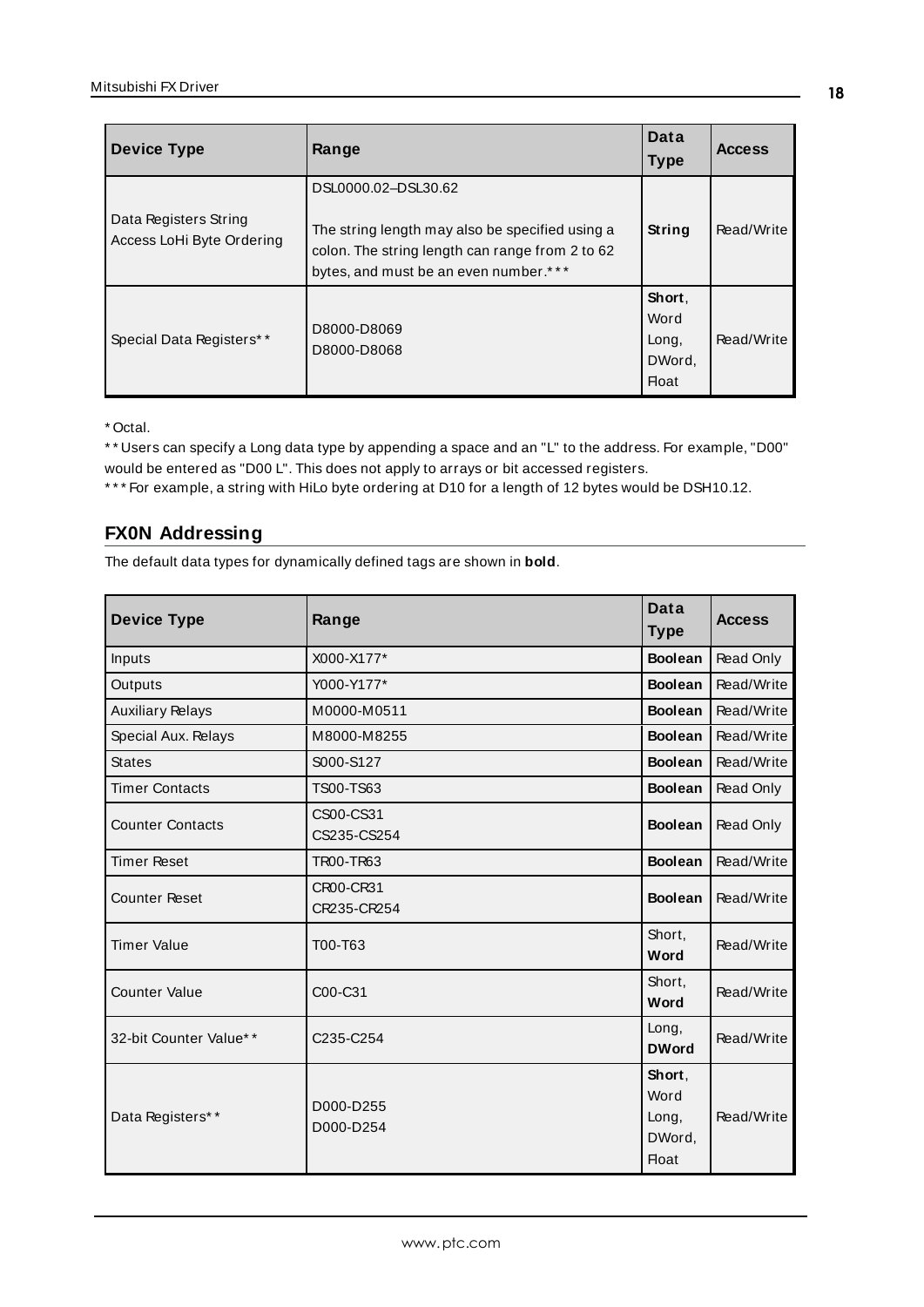| <b>Device Type</b>                                 | Range                                                                                                                                                              | Data<br><b>Type</b>                        | <b>Access</b> |
|----------------------------------------------------|--------------------------------------------------------------------------------------------------------------------------------------------------------------------|--------------------------------------------|---------------|
| Data Registers String<br>Access LoHi Byte Ordering | DSL0000.02-DSL30.62<br>The string length may also be specified using a<br>colon. The string length can range from 2 to 62<br>bytes, and must be an even number.*** | String                                     | Read/Write    |
| Special Data Registers**                           | D8000-D8069<br>D8000-D8068                                                                                                                                         | Short,<br>Word<br>Long,<br>DWord,<br>Float | Read/Write    |

\* \* Users can specify a Long data type by appending a space and an "L" to the address. For example, "D00" would be entered as "D00 L". This does not apply to arrays or bit accessed registers.

<span id="page-17-0"></span>\* \* \* For example, a string with HiLo byte ordering at D10 for a length of 12 bytes would be DSH10.12.

# **FX0N Addressing**

| <b>Device Type</b>      | Range                    | Data<br><b>Type</b>                               | <b>Access</b> |
|-------------------------|--------------------------|---------------------------------------------------|---------------|
| Inputs                  | X000-X177*               | <b>Boolean</b>                                    | Read Only     |
| Outputs                 | Y000-Y177*               | <b>Boolean</b>                                    | Read/Write    |
| <b>Auxiliary Relays</b> | M0000-M0511              | <b>Boolean</b>                                    | Read/Write    |
| Special Aux. Relays     | M8000-M8255              | <b>Boolean</b>                                    | Read/Write    |
| <b>States</b>           | S000-S127                | <b>Boolean</b>                                    | Read/Write    |
| <b>Timer Contacts</b>   | TS00-TS63                | <b>Boolean</b>                                    | Read Only     |
| <b>Counter Contacts</b> | CS00-CS31<br>CS235-CS254 | <b>Boolean</b>                                    | Read Only     |
| <b>Timer Reset</b>      | TR00-TR63                | <b>Boolean</b>                                    | Read/Write    |
| <b>Counter Reset</b>    | CR00-CR31<br>CR235-CR254 | <b>Boolean</b>                                    | Read/Write    |
| <b>Timer Value</b>      | T00-T63                  | Short,<br>Word                                    | Read/Write    |
| <b>Counter Value</b>    | C00-C31                  | Short,<br>Word                                    | Read/Write    |
| 32-bit Counter Value**  | C235-C254                | Long,<br><b>DWord</b>                             | Read/Write    |
| Data Registers**        | D000-D255<br>D000-D254   | Short,<br>Word<br>Long,<br>DWord,<br><b>Float</b> | Read/Write    |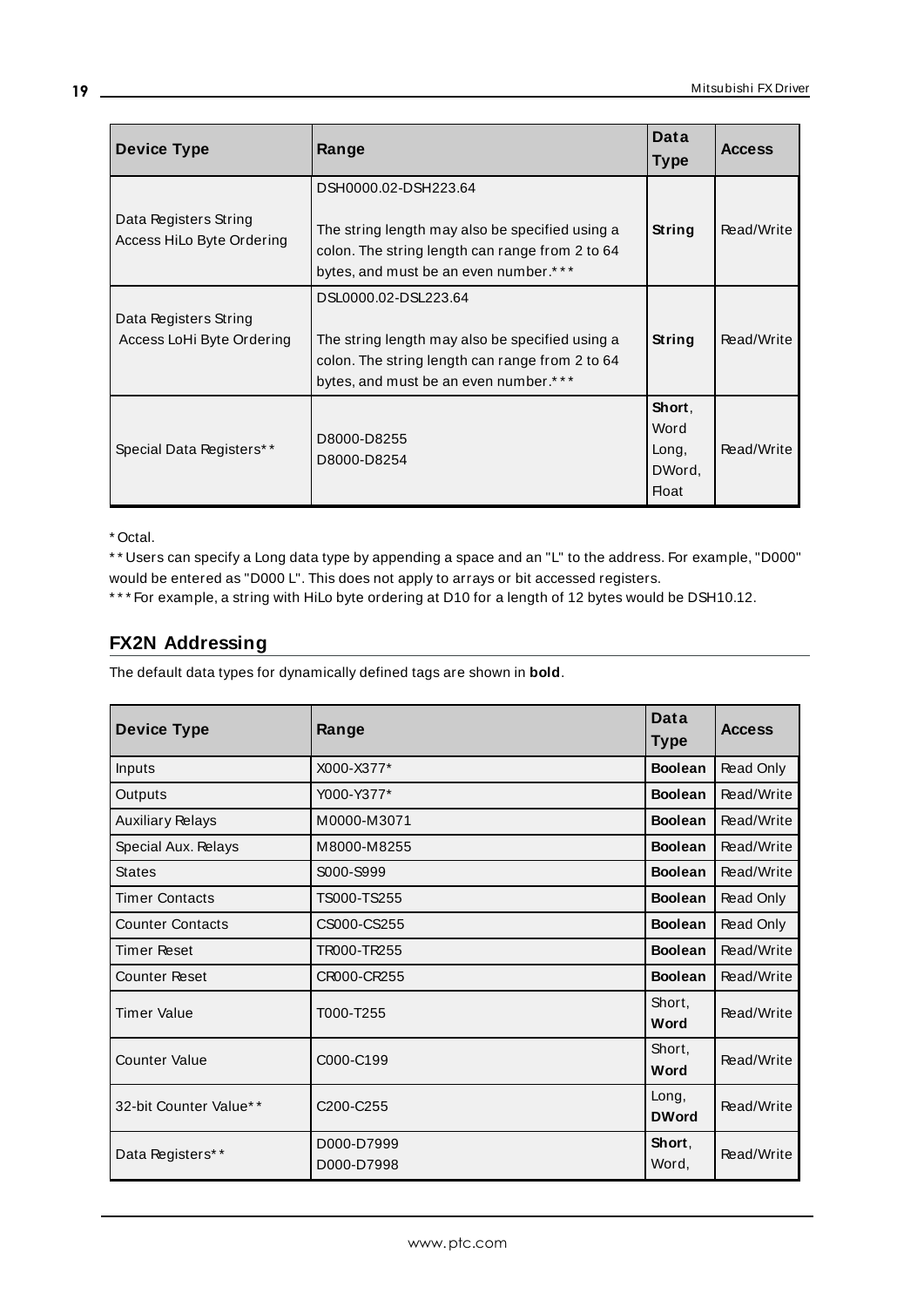| <b>Device Type</b>                                 | Range                                                                                                                                                               | Data<br><b>Type</b>                        | <b>Access</b> |
|----------------------------------------------------|---------------------------------------------------------------------------------------------------------------------------------------------------------------------|--------------------------------------------|---------------|
| Data Registers String<br>Access HiLo Byte Ordering | DSH0000.02-DSH223.64<br>The string length may also be specified using a<br>colon. The string length can range from 2 to 64<br>bytes, and must be an even number.*** | String                                     | Read/Write    |
| Data Registers String<br>Access LoHi Byte Ordering | DSL0000.02-DSL223.64<br>The string length may also be specified using a<br>colon. The string length can range from 2 to 64<br>bytes, and must be an even number.*** | String                                     | Read/Write    |
| Special Data Registers**                           | D8000-D8255<br>D8000-D8254                                                                                                                                          | Short,<br>Word<br>Long,<br>DWord,<br>Float | Read/Write    |

\* \* Users can specify a Long data type by appending a space and an "L" to the address. For example, "D000" would be entered as "D000 L". This does not apply to arrays or bit accessed registers.

<span id="page-18-0"></span>\* \* \* For example, a string with HiLo byte ordering at D10 for a length of 12 bytes would be DSH10.12.

# **FX2N Addressing**

| <b>Device Type</b>      | Range                              | Data<br><b>Type</b>   | <b>Access</b> |
|-------------------------|------------------------------------|-----------------------|---------------|
| Inputs                  | X000-X377*                         | <b>Boolean</b>        | Read Only     |
| Outputs                 | Y000-Y377*                         | <b>Boolean</b>        | Read/Write    |
| <b>Auxiliary Relays</b> | M0000-M3071                        | <b>Boolean</b>        | Read/Write    |
| Special Aux. Relays     | M8000-M8255                        | <b>Boolean</b>        | Read/Write    |
| <b>States</b>           | S000-S999                          | <b>Boolean</b>        | Read/Write    |
| <b>Timer Contacts</b>   | TS000-TS255                        | <b>Boolean</b>        | Read Only     |
| <b>Counter Contacts</b> | CS000-CS255                        | <b>Boolean</b>        | Read Only     |
| <b>Timer Reset</b>      | TR000-TR255                        | <b>Boolean</b>        | Read/Write    |
| <b>Counter Reset</b>    | CR000-CR255                        | <b>Boolean</b>        | Read/Write    |
| <b>Timer Value</b>      | T000-T255                          | Short,<br>Word        | Read/Write    |
| <b>Counter Value</b>    | C000-C199                          | Short.<br>Word        | Read/Write    |
| 32-bit Counter Value**  | C <sub>200</sub> -C <sub>255</sub> | Long,<br><b>DWord</b> | Read/Write    |
| Data Registers**        | D000-D7999<br>D000-D7998           | Short.<br>Word,       | Read/Write    |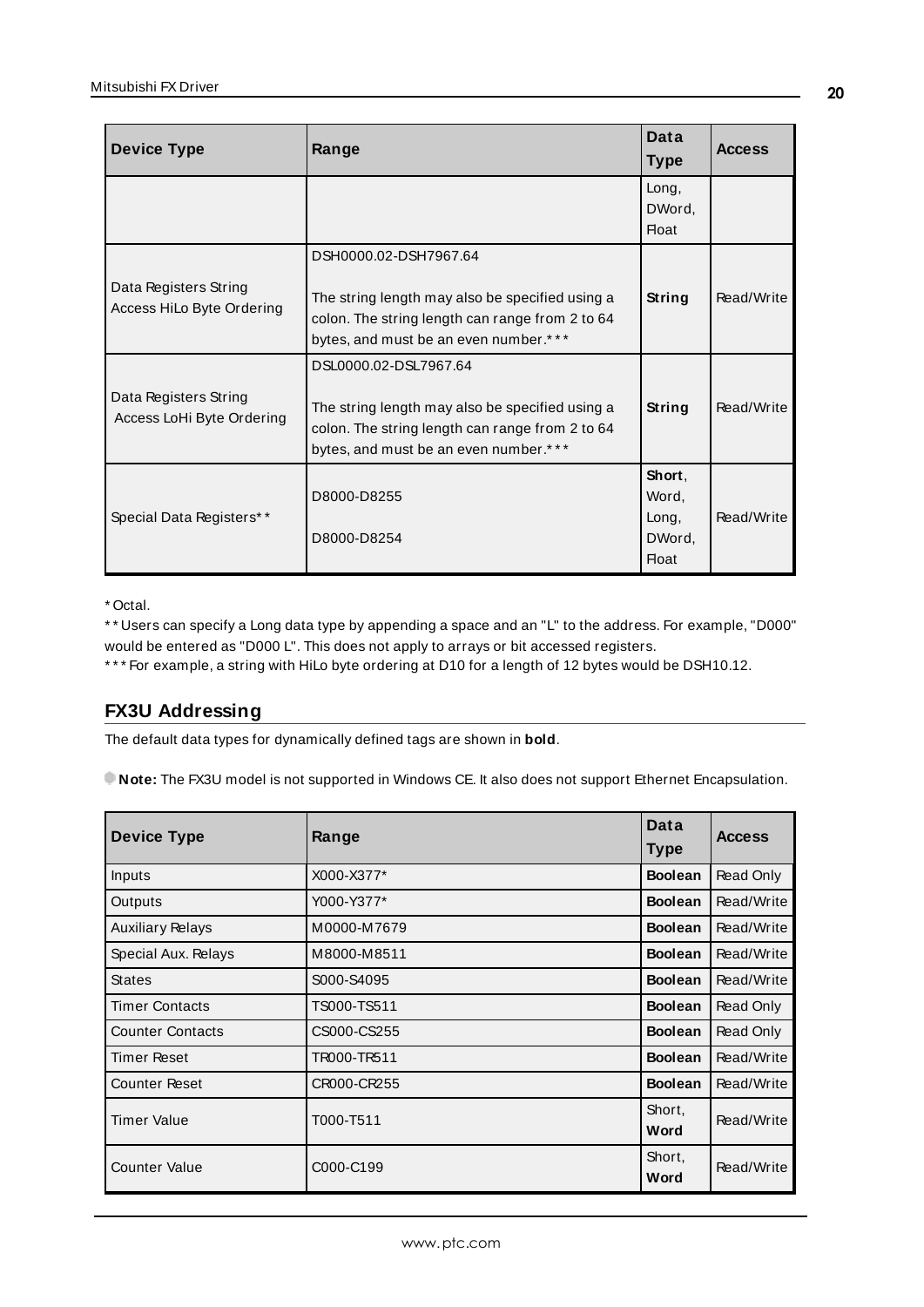| <b>Device Type</b>                                 | Range                                                                                                                                                                | Data<br><b>Type</b>                                | <b>Access</b> |
|----------------------------------------------------|----------------------------------------------------------------------------------------------------------------------------------------------------------------------|----------------------------------------------------|---------------|
|                                                    |                                                                                                                                                                      | Long,<br>DWord,<br><b>Float</b>                    |               |
| Data Registers String<br>Access HiLo Byte Ordering | DSH0000.02-DSH7967.64<br>The string length may also be specified using a<br>colon. The string length can range from 2 to 64<br>bytes, and must be an even number.*** | String                                             | Read/Write    |
| Data Registers String<br>Access LoHi Byte Ordering | DSL0000.02-DSL7967.64<br>The string length may also be specified using a<br>colon. The string length can range from 2 to 64<br>bytes, and must be an even number.*** | String                                             | Read/Write    |
| Special Data Registers**                           | D8000-D8255<br>D8000-D8254                                                                                                                                           | Short,<br>Word,<br>Long,<br>DWord,<br><b>Float</b> | Read/Write    |

\* \* Users can specify a Long data type by appending a space and an "L" to the address. For example, "D000" would be entered as "D000 L". This does not apply to arrays or bit accessed registers.

<span id="page-19-0"></span>\* \* \* For example, a string with HiLo byte ordering at D10 for a length of 12 bytes would be DSH10.12.

# **FX3U Addressing**

The default data types for dynamically defined tags are shown in **bold**.

**Note:** The FX3U model is not supported in Windows CE. It also does not support Ethernet Encapsulation.

| <b>Device Type</b>      | Range       | Data<br>Type   | <b>Access</b> |
|-------------------------|-------------|----------------|---------------|
| Inputs                  | X000-X377*  | <b>Boolean</b> | Read Only     |
| Outputs                 | Y000-Y377*  | <b>Boolean</b> | Read/Write    |
| <b>Auxiliary Relays</b> | M0000-M7679 | <b>Boolean</b> | Read/Write    |
| Special Aux. Relays     | M8000-M8511 | <b>Boolean</b> | Read/Write    |
| <b>States</b>           | S000-S4095  | <b>Boolean</b> | Read/Write    |
| <b>Timer Contacts</b>   | TS000-TS511 | <b>Boolean</b> | Read Only     |
| <b>Counter Contacts</b> | CS000-CS255 | <b>Boolean</b> | Read Only     |
| Timer Reset             | TR000-TR511 | <b>Boolean</b> | Read/Write    |
| <b>Counter Reset</b>    | CR000-CR255 | <b>Boolean</b> | Read/Write    |
| <b>Timer Value</b>      | T000-T511   | Short,<br>Word | Read/Write    |
| <b>Counter Value</b>    | C000-C199   | Short,<br>Word | Read/Write    |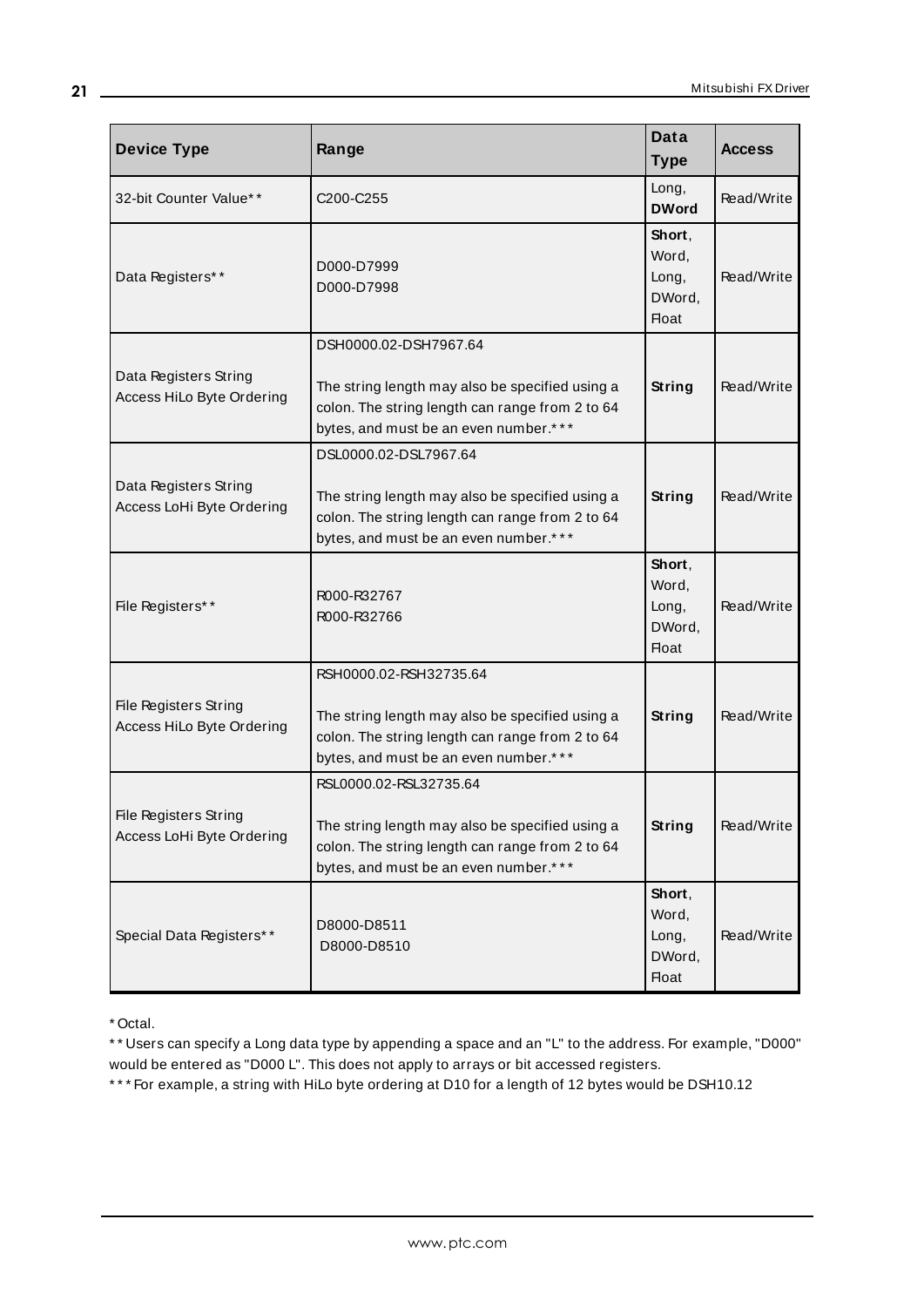<span id="page-20-0"></span>

| <b>Device Type</b>                                 | Range                                                                                                                                                                 | Data<br><b>Type</b>                                | <b>Access</b> |
|----------------------------------------------------|-----------------------------------------------------------------------------------------------------------------------------------------------------------------------|----------------------------------------------------|---------------|
| 32-bit Counter Value**                             | C200-C255                                                                                                                                                             | Long,<br><b>DWord</b>                              | Read/Write    |
| Data Registers**                                   | D000-D7999<br>D000-D7998                                                                                                                                              | Short,<br>Word,<br>Long,<br>DWord,<br><b>Float</b> | Read/Write    |
| Data Registers String<br>Access HiLo Byte Ordering | DSH0000.02-DSH7967.64<br>The string length may also be specified using a<br>colon. The string length can range from 2 to 64<br>bytes, and must be an even number.***  | String                                             | Read/Write    |
| Data Registers String<br>Access LoHi Byte Ordering | DSL0000.02-DSL7967.64<br>The string length may also be specified using a<br>colon. The string length can range from 2 to 64<br>bytes, and must be an even number.***  | String                                             | Read/Write    |
| File Registers**                                   | R000-R32767<br>R000-R32766                                                                                                                                            | Short,<br>Word,<br>Long,<br>DWord,<br><b>Float</b> | Read/Write    |
| File Registers String<br>Access HiLo Byte Ordering | RSH0000.02-RSH32735.64<br>The string length may also be specified using a<br>colon. The string length can range from 2 to 64<br>bytes, and must be an even number.*** | String                                             | Read/Write    |
| File Registers String<br>Access LoHi Byte Ordering | RSL0000.02-RSL32735.64<br>The string length may also be specified using a<br>colon. The string length can range from 2 to 64<br>bytes, and must be an even number.*** | <b>String</b>                                      | Read/Write    |
| Special Data Registers**                           | D8000-D8511<br>D8000-D8510                                                                                                                                            | Short,<br>Word,<br>Long,<br>DWord,<br><b>Float</b> | Read/Write    |

\* \* Users can specify a Long data type by appending a space and an "L" to the address. For example, "D000" would be entered as "D000 L". This does not apply to arrays or bit accessed registers.

\* \* \* For example, a string with HiLo byte ordering at D10 for a length of 12 bytes would be DSH10.12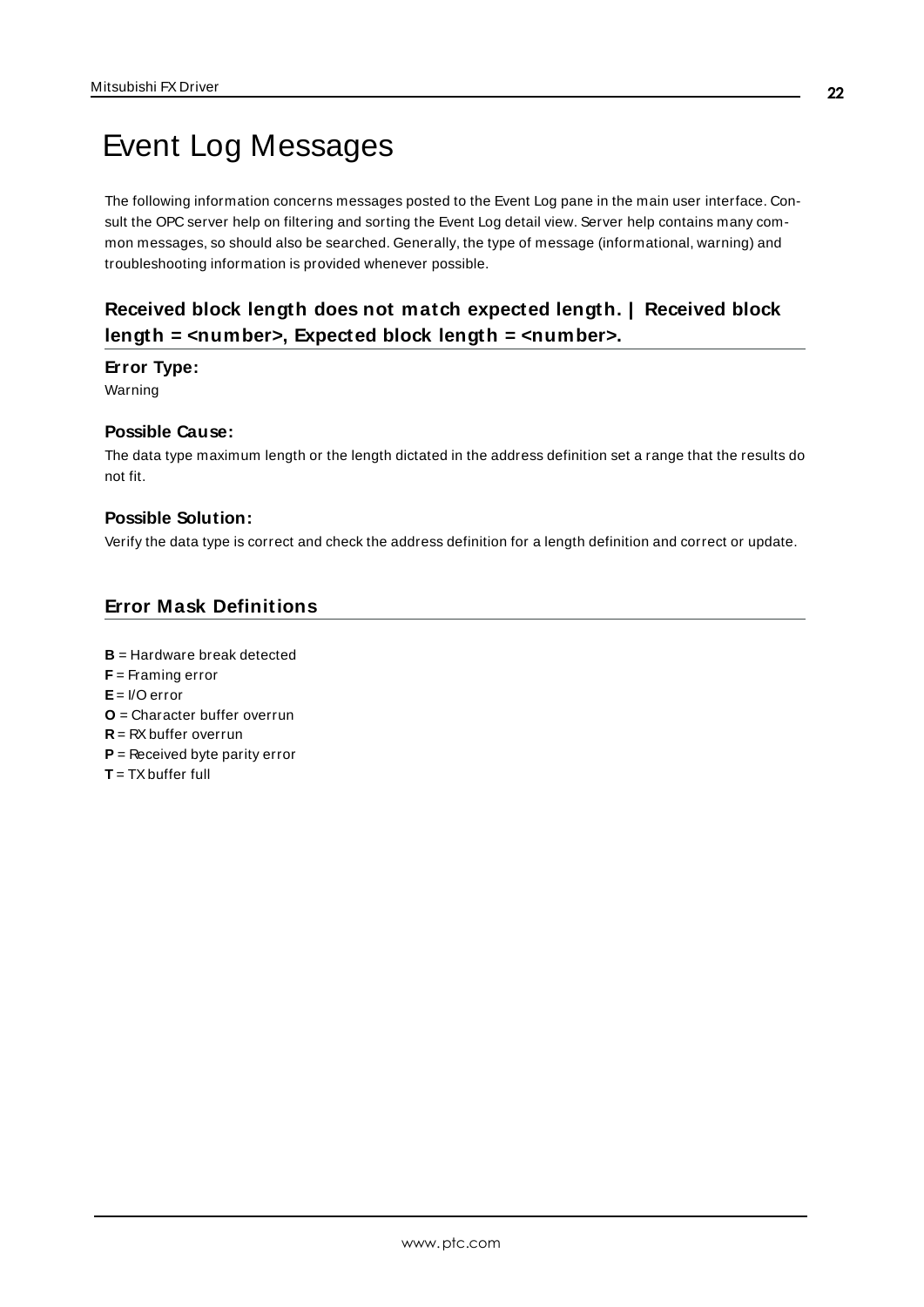# <span id="page-21-0"></span>Event Log Messages

The following information concerns messages posted to the Event Log pane in the main user interface. Consult the OPC server help on filtering and sorting the Event Log detail view. Server help contains many common messages, so should also be searched. Generally, the type of message (informational, warning) and troubleshooting information is provided whenever possible.

# <span id="page-21-1"></span>**Received block length does not match expected length. | Received block length = <number>, Expected block length = <number>.**

## **Error Type:**

Warning

# **Possible Cause:**

The data type maximum length or the length dictated in the address definition set a range that the results do not fit.

#### **Possible Solution:**

Verify the data type is correct and check the address definition for a length definition and correct or update.

# <span id="page-21-2"></span>**Error Mask Definitions**

<span id="page-21-9"></span><span id="page-21-8"></span><span id="page-21-7"></span><span id="page-21-6"></span><span id="page-21-5"></span><span id="page-21-4"></span><span id="page-21-3"></span>**B** = Hardware break detected **F** = Framing error  $F = I/O$  error **O** = Character buffer overrun **R** = RXbuffer overrun **P** = Received byte parity error **T** = TXbuffer full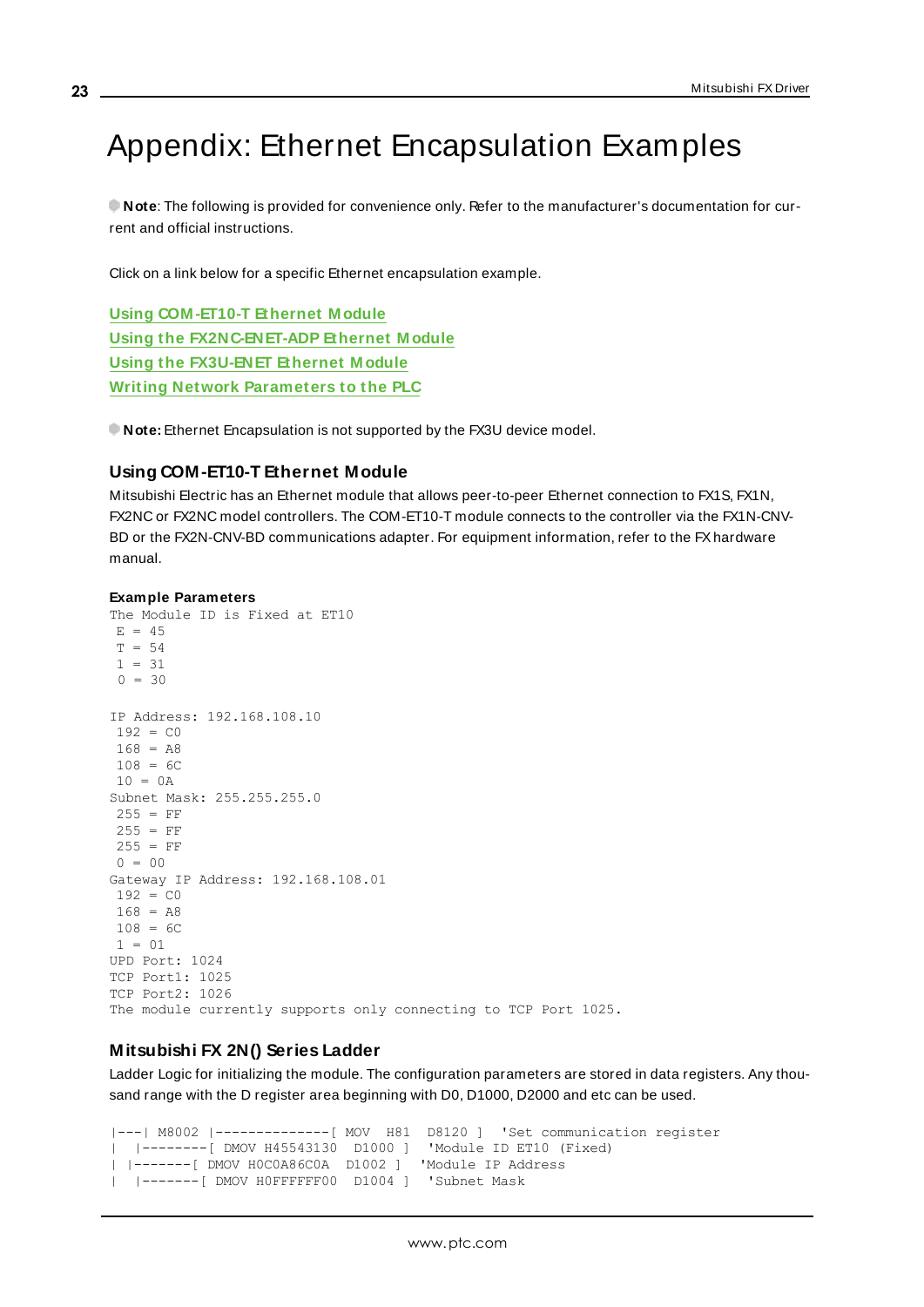# <span id="page-22-0"></span>Appendix: Ethernet Encapsulation Examples

**Note**: The following is provided for convenience only. Refer to the manufacturer's documentation for current and official instructions.

Click on a link below for a specific Ethernet encapsulation example.

**Using [COM -ET10-T](#page-22-1) Ethernet M odule Using the [FX2NC-ENET-ADP](#page-23-0) Ethernet M odule Using the [FX3U-ENET](#page-24-0) Ethernet M odule Writing Network [Parameters](#page-26-0) to the PLC**

<span id="page-22-2"></span><span id="page-22-1"></span>**Note:** Ethernet Encapsulation is not supported by the FX3U device model.

## **Using COM-ET10-T Ethernet Module**

Mitsubishi Electric has an Ethernet module that allows peer-to-peer Ethernet connection to FX1S, FX1N, FX2NC or FX2NC model controllers. The COM-ET10-T module connects to the controller via the FX1N-CNV-BD or the FX2N-CNV-BD communications adapter. For equipment information, refer to the FX hardware manual.

#### **Example Parameters**

```
The Module ID is Fixed at ET10
E = 45T = 541 = 310 = 30IP Address: 192.168.108.10
192 = C0168 = A8108 = 6C10 = 0ASubnet Mask: 255.255.255.0
255 = FF255 = FF255 = FF0 = 00Gateway IP Address: 192.168.108.01
192 = C_0168 = A8108 = 6C1 = 01UPD Port: 1024
TCP Port1: 1025
TCP Port2: 1026
The module currently supports only connecting to TCP Port 1025.
```
## <span id="page-22-3"></span>**Mitsubishi FX 2N() Series Ladder**

Ladder Logic for initializing the module. The configuration parameters are stored in data registers. Any thousand range with the D register area beginning with D0, D1000, D2000 and etc can be used.

|---| M8002 |--------------[ MOV H81 D8120 ] 'Set communication register | |--------[ DMOV H45543130 D1000 ] 'Module ID ET10 (Fixed) | |-------[ DMOV H0C0A86C0A D1002 ] 'Module IP Address | |-------[ DMOV H0FFFFFF00 D1004 ] 'Subnet Mask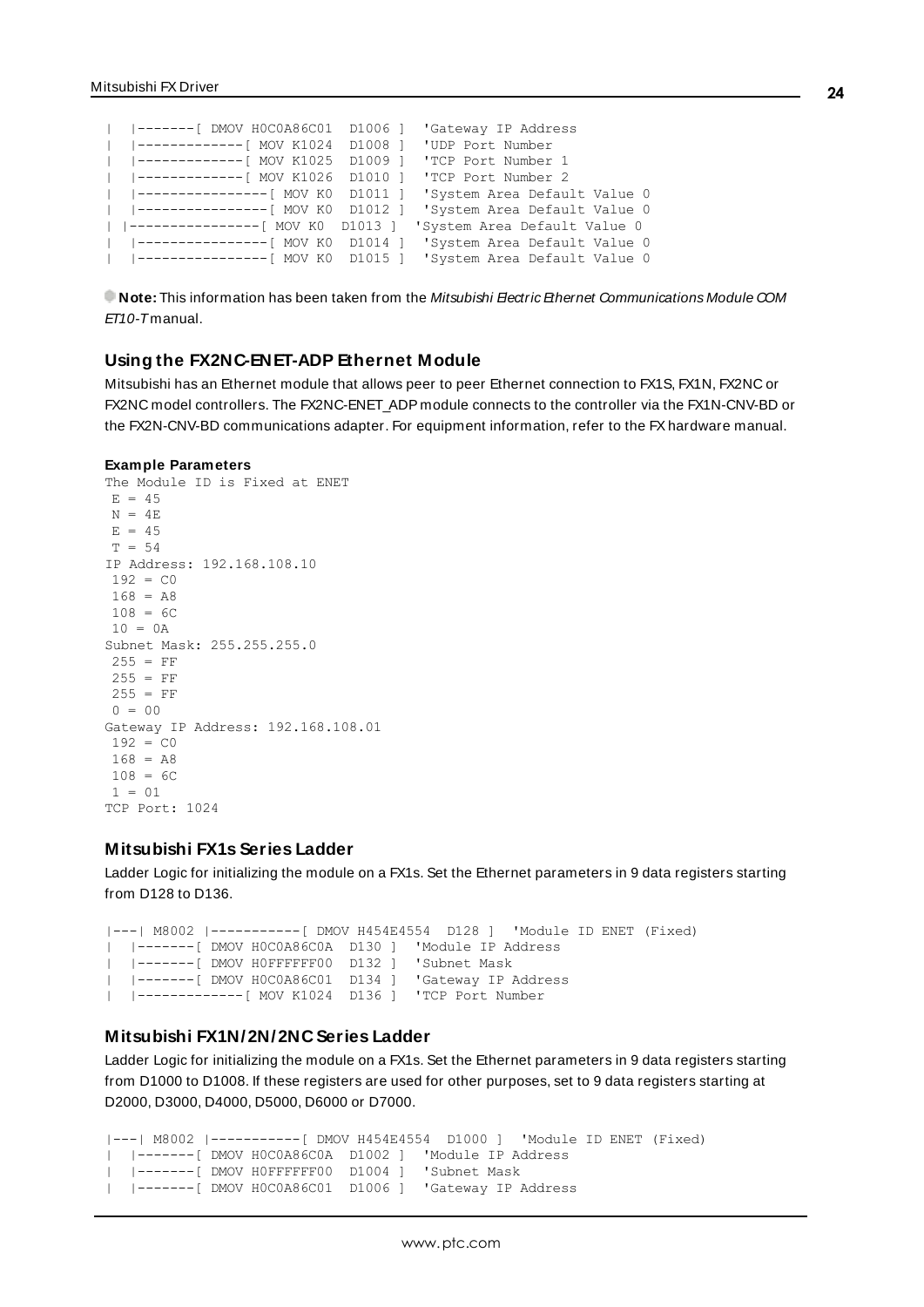```
|  |-------[ DMOV H0C0A86C01  D1006 ]  'Gateway IP Address
|  |-------------[ MOV K1024  D1008 ]  'UDP Port Number
|  |-------------[ MOV K1025  D1009 ]  'TCP Port Number 1
 |  |-------------[ MOV K1026  D1010 ]  'TCP Port Number 2
|  |----------------[ MOV K0  D1011 ]  'System Area Default Value 0
|  |----------------[ MOV K0  D1012 ]  'System Area Default Value 0
| |----------------[ MOV K0  D1013 ]  'System Area Default Value 0
  |----------------[  MOV K0  D1014  ]
|  |----------------[ MOV K0  D1015 ]  'System Area Default Value 0
```
<span id="page-23-0"></span>**Note:** This information has been taken from the Mitsubishi Eectric Ethernet Communications Module COM ET10-Tmanual.

#### <span id="page-23-1"></span>**Using the FX2NC-ENET-ADP Ethernet Module**

Mitsubishi has an Ethernet module that allows peer to peer Ethernet connection to FX1S, FX1N, FX2NC or FX2NC model controllers. The FX2NC-ENET ADP module connects to the controller via the FX1N-CNV-BD or the FX2N-CNV-BD communications adapter. For equipment information, refer to the FXhardware manual.

#### **Example Parameters**

```
The Module ID is Fixed at ENET
E = 45N = 4EE = 45T = 54IP Address: 192.168.108.10
192 = C0168 = A8108 = 6C10 = 0ASubnet Mask: 255.255.255.0
255 = FF255 = FF255 = FF0 = 00Gateway IP Address: 192.168.108.01
192 = C_0168 = A8108 = 6C1 = 01TCP Port: 1024
```
#### <span id="page-23-3"></span>**Mitsubishi FX1s Series Ladder**

Ladder Logic for initializing the module on a FX1s. Set the Ethernet parameters in 9 data registers starting from D128 to D136.

```
|---| M8002 |-----------[ DMOV H454E4554  D128 ]  'Module ID ENET (Fixed)
|  |-------[ DMOV H0C0A86C0A  D130 ]  'Module IP Address
|  |-------[ DMOV H0FFFFFF00  D132 ]  'Subnet Mask
|  |-------[ DMOV H0C0A86C01  D134 ]  'Gateway IP Address
|  |-------------[ MOV K1024  D136 ]  'TCP Port Number
```
## <span id="page-23-2"></span>**Mitsubishi FX1N/2N/2NC Series Ladder**

Ladder Logic for initializing the module on a FX1s. Set the Ethernet parameters in 9 data registers starting from D1000 to D1008. If these registers are used for other purposes, set to 9 data registers starting at D2000, D3000, D4000, D5000, D6000 or D7000.

```
|---| M8002 |-----------[ DMOV H454E4554  D1000 ]  'Module ID ENET (Fixed)
|  |-------[ DMOV H0C0A86C0A  D1002 ]  'Module IP Address
|  |-------[ DMOV H0FFFFFF00  D1004 ]  'Subnet Mask
|  |-------[ DMOV H0C0A86C01  D1006 ]  'Gateway IP Address
```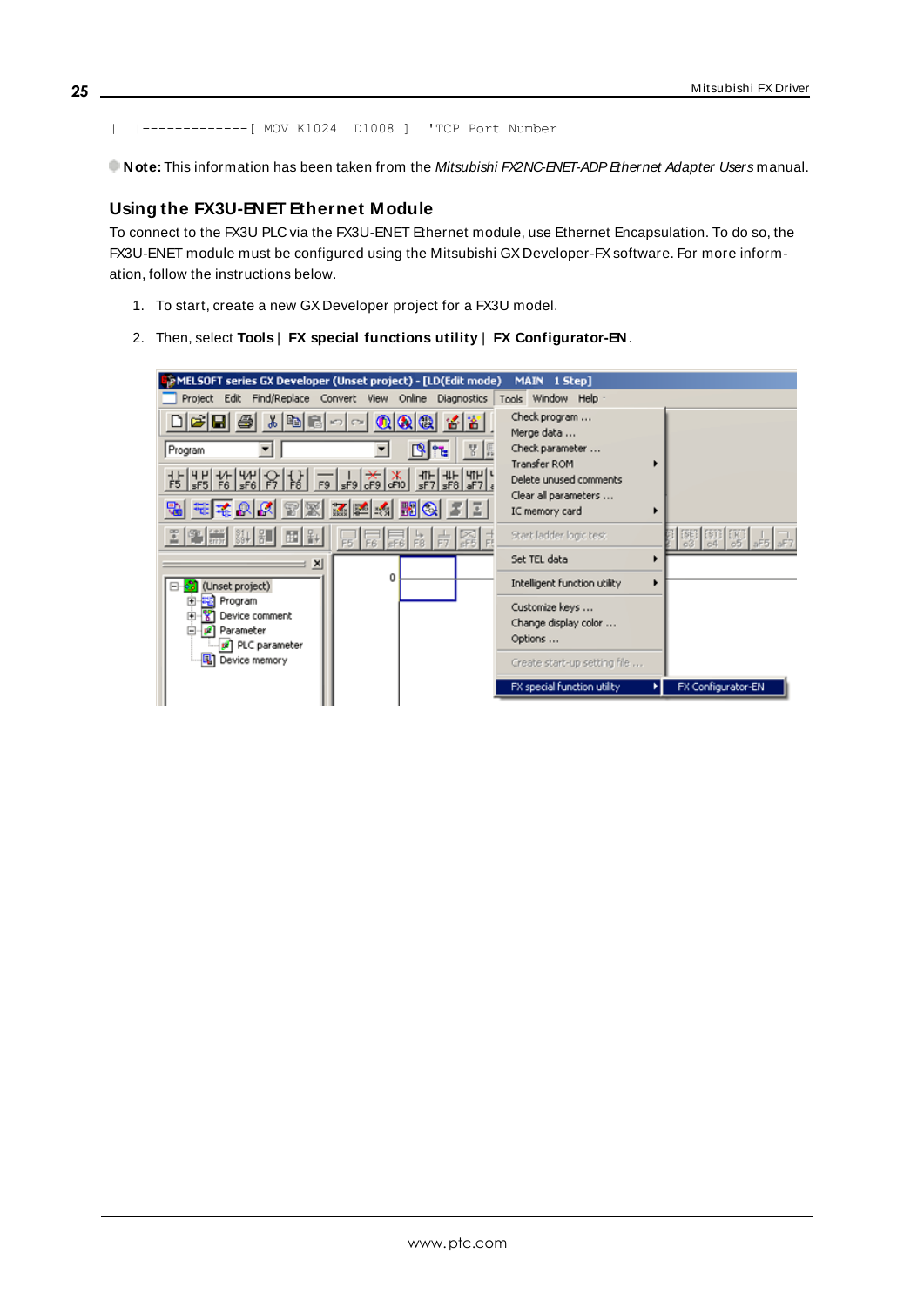| |-------------[ MOV K1024 D1008 ] 'TCP Port Number

<span id="page-24-1"></span><span id="page-24-0"></span>Note: This information has been taken from the Mitsubishi FX2NC-ENET-ADP Ethernet Adapter Users manual.

# **Using the FX3U-ENET Ethernet Module**

To connect to the FX3U PLC via the FX3U-ENET Ethernet module, use Ethernet Encapsulation. To do so, the FX3U-ENET module must be configured using the Mitsubishi GX Developer-FXsoftware. For more information, follow the instructions below.

- 1. To start, create a new GX Developer project for a FX3U model.
- 2. Then, select **Tools** | **FX special functions utility** | **FX Configurator-EN**.

| MELSOFT series GX Developer (Unset project) - [LD(Edit mode) |                                                                                                                                                                                                                                                                                                                                                                                                                                                                                                                                          | MAIN 1 Step]                           |                    |
|--------------------------------------------------------------|------------------------------------------------------------------------------------------------------------------------------------------------------------------------------------------------------------------------------------------------------------------------------------------------------------------------------------------------------------------------------------------------------------------------------------------------------------------------------------------------------------------------------------------|----------------------------------------|--------------------|
| Project Edit Find/Replace Convert View Online                | Diagnostics                                                                                                                                                                                                                                                                                                                                                                                                                                                                                                                              | Tools Window Help -                    |                    |
| る国民のの                                                        | $\odot$ $\odot$<br>名著                                                                                                                                                                                                                                                                                                                                                                                                                                                                                                                    | Check program<br>Merge data            |                    |
| Program                                                      | Ľ                                                                                                                                                                                                                                                                                                                                                                                                                                                                                                                                        | Check parameter                        |                    |
|                                                              |                                                                                                                                                                                                                                                                                                                                                                                                                                                                                                                                          | Transfer ROM                           |                    |
| <u>부분명 10 동이 같은 그 글을 찾아</u>                                  | $\begin{array}{c} \begin{array}{c} \begin{array}{c} \text{4} \\ \text{5} \end{array} \\ \text{s} \end{array} \end{array} \begin{bmatrix} \begin{array}{c} \text{4} \\ \text{5} \end{array} \\ \text{s} \end{bmatrix} \begin{bmatrix} \begin{array}{c} \text{4} \\ \text{s} \end{array} \\ \text{s} \end{bmatrix} \begin{bmatrix} \begin{array}{c} \text{4} \\ \text{s} \end{array} \\ \text{s} \end{bmatrix} \begin{bmatrix} \begin{array}{c} \text{4} \\ \text{s} \end{array} \\ \text{s} \end{bmatrix} \begin{bmatrix} \begin{array}{$ | Delete unused comments                 |                    |
| <b>在大约的 网络阿拉伯 医子宫</b>                                        |                                                                                                                                                                                                                                                                                                                                                                                                                                                                                                                                          | Clear all parameters<br>IC memory card |                    |
| 国务器 餅紅 国际                                                    |                                                                                                                                                                                                                                                                                                                                                                                                                                                                                                                                          | Start ladder logic test                | 明明                 |
| $\mathbf{x}$                                                 |                                                                                                                                                                                                                                                                                                                                                                                                                                                                                                                                          | Set TEL data<br>▸                      |                    |
| (Unset project)                                              | n                                                                                                                                                                                                                                                                                                                                                                                                                                                                                                                                        | Intelligent function utility<br>٠      |                    |
| <sup>出</sup> Program<br>⊞                                    |                                                                                                                                                                                                                                                                                                                                                                                                                                                                                                                                          | Customize keys                         |                    |
| Device comment<br>圓<br>e<br><b>R</b> Parameter               |                                                                                                                                                                                                                                                                                                                                                                                                                                                                                                                                          | Change display color                   |                    |
| PLC parameter                                                |                                                                                                                                                                                                                                                                                                                                                                                                                                                                                                                                          | Options                                |                    |
| <b>同</b> Device memory                                       |                                                                                                                                                                                                                                                                                                                                                                                                                                                                                                                                          | Create start-up setting file           |                    |
|                                                              |                                                                                                                                                                                                                                                                                                                                                                                                                                                                                                                                          | FX special function utility            | FX Configurator-EN |
|                                                              |                                                                                                                                                                                                                                                                                                                                                                                                                                                                                                                                          |                                        |                    |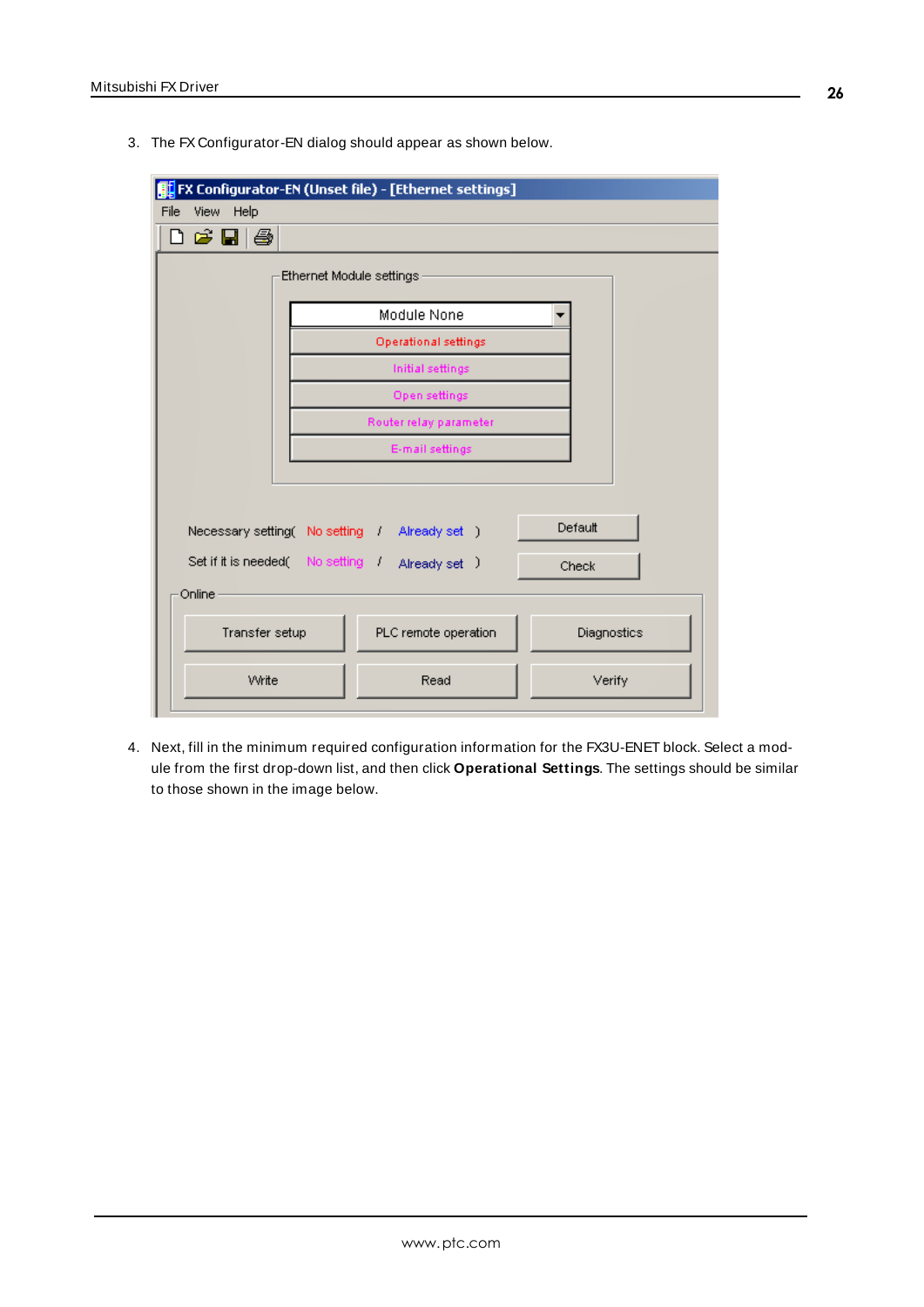3. The FX Configurator-EN dialog should appear as shown below.

|                                                                                                                            | FX Configurator-EN (Unset file) - [Ethernet settings] |        |  |  |  |  |  |  |  |
|----------------------------------------------------------------------------------------------------------------------------|-------------------------------------------------------|--------|--|--|--|--|--|--|--|
| File<br>View Help                                                                                                          |                                                       |        |  |  |  |  |  |  |  |
| $\mathsf{D} \not\cong \blacksquare \mathsf{B}$                                                                             |                                                       |        |  |  |  |  |  |  |  |
| Ethernet Module settings                                                                                                   |                                                       |        |  |  |  |  |  |  |  |
|                                                                                                                            | Module None                                           |        |  |  |  |  |  |  |  |
| <b>Operational settings</b>                                                                                                |                                                       |        |  |  |  |  |  |  |  |
|                                                                                                                            | Initial settings                                      |        |  |  |  |  |  |  |  |
|                                                                                                                            | Open settings                                         |        |  |  |  |  |  |  |  |
|                                                                                                                            | Router relay parameter                                |        |  |  |  |  |  |  |  |
|                                                                                                                            | E-mail settings                                       |        |  |  |  |  |  |  |  |
|                                                                                                                            |                                                       |        |  |  |  |  |  |  |  |
| Default<br>Necessary setting( No setting / Already set )<br>Set if it is needed ( No setting ( )<br>Already set )<br>Check |                                                       |        |  |  |  |  |  |  |  |
| Online                                                                                                                     |                                                       |        |  |  |  |  |  |  |  |
| PLC remote operation<br>Transfer setup<br>Diagnostics                                                                      |                                                       |        |  |  |  |  |  |  |  |
| Write                                                                                                                      | Read                                                  | Verify |  |  |  |  |  |  |  |

4. Next, fill in the minimum required configuration information for the FX3U-ENET block. Select a module from the first drop-down list, and then click **Operational Settings**. The settings should be similar to those shown in the image below.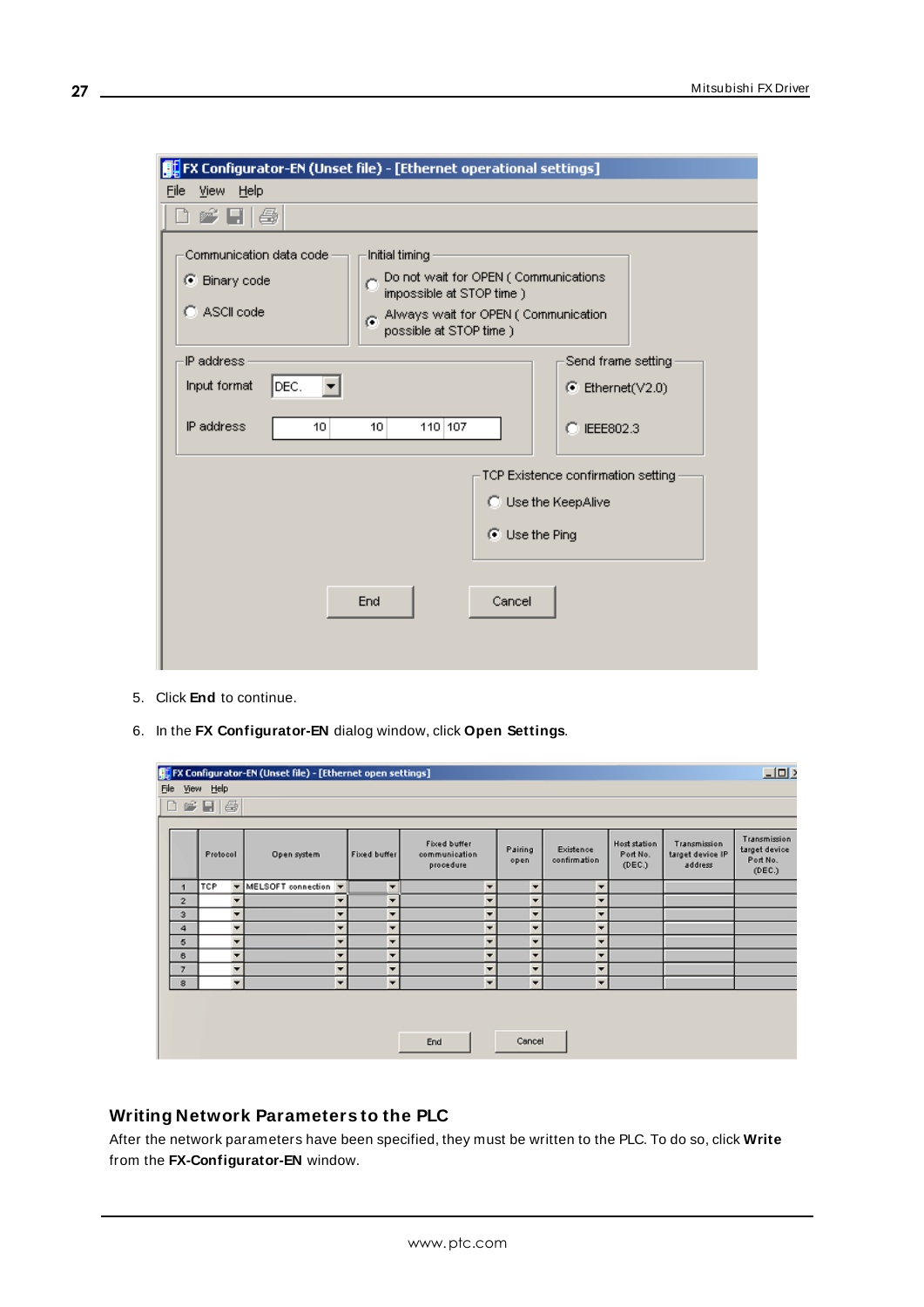| FX Configurator-EN (Unset file) - [Ethernet operational settings]                                                                        |                                                                             |  |  |  |  |  |  |  |
|------------------------------------------------------------------------------------------------------------------------------------------|-----------------------------------------------------------------------------|--|--|--|--|--|--|--|
| View Help<br>File                                                                                                                        |                                                                             |  |  |  |  |  |  |  |
| 鱼<br>et Li                                                                                                                               |                                                                             |  |  |  |  |  |  |  |
| Communication data code<br>Initial timing<br>C Binary code<br>impossible at STOP time )<br>C ASCII code<br>G.<br>possible at STOP time ) | Do not wait for OPEN (Communications<br>Always wait for OPEN (Communication |  |  |  |  |  |  |  |
| IP address<br>Input format<br>DEC.                                                                                                       | Send frame setting<br>$\bullet$ Ethernet(V2.0)                              |  |  |  |  |  |  |  |
| IP address<br>110 107<br>10<br>10                                                                                                        | C IEEE802.3                                                                 |  |  |  |  |  |  |  |
|                                                                                                                                          | TCP Existence confirmation setting<br>C Use the KeepAlive<br>◯ Use the Ping |  |  |  |  |  |  |  |
| End<br>Cancel                                                                                                                            |                                                                             |  |  |  |  |  |  |  |

- 5. Click **End** to continue.
- 6. In the **FX Configurator-EN** dialog window, click **Open Settings**.

| $\square$<br><b>FL</b> FX Configurator-EN (Unset file) - [Ethernet open settings] |            |   |                      |                          |                     |                                            |                          |                 |                           |                                           |                                             |                                                     |
|-----------------------------------------------------------------------------------|------------|---|----------------------|--------------------------|---------------------|--------------------------------------------|--------------------------|-----------------|---------------------------|-------------------------------------------|---------------------------------------------|-----------------------------------------------------|
| File View Help                                                                    |            |   |                      |                          |                     |                                            |                          |                 |                           |                                           |                                             |                                                     |
| 白雪日母                                                                              |            |   |                      |                          |                     |                                            |                          |                 |                           |                                           |                                             |                                                     |
|                                                                                   |            |   |                      |                          |                     |                                            |                          |                 |                           |                                           |                                             |                                                     |
|                                                                                   | Protocol   |   | Open system          |                          | <b>Fixed buffer</b> | Fixed buffer<br>communication<br>procedure |                          | Pairing<br>open | Existence<br>confirmation | <b>Host station</b><br>Port No.<br>(DEC.) | Transmission<br>target device IP<br>address | Transmission<br>target device<br>Port No.<br>(DEC.) |
| и                                                                                 | <b>TCP</b> |   | MELSOFT connection T |                          | ۰                   |                                            | $\overline{\phantom{a}}$ | ۰               | $\overline{\phantom{a}}$  |                                           |                                             |                                                     |
| $\overline{2}$                                                                    |            |   |                      | ▾                        | ▼                   |                                            | $\overline{\phantom{a}}$ |                 | $\overline{\phantom{a}}$  |                                           |                                             |                                                     |
| $\overline{\mathbf{3}}$                                                           |            | ▼ |                      | ۰                        | ▼                   |                                            | ×                        | ۰               | ▼                         |                                           |                                             |                                                     |
| 4                                                                                 |            |   |                      | ۰                        | ۰                   |                                            | ۰                        | ▼               | ۰                         |                                           |                                             |                                                     |
| 5                                                                                 |            |   |                      | ۰                        | ۰                   |                                            | ٠                        | ۰               | $\overline{\phantom{a}}$  |                                           |                                             |                                                     |
| 6                                                                                 |            | ▼ |                      | ۰                        | ٠                   |                                            | ٠                        | ۰               | $\overline{\phantom{a}}$  |                                           |                                             |                                                     |
| $\overline{7}$                                                                    |            |   |                      | ▼                        | ▼                   |                                            | ▼                        | ▼               | ▼                         |                                           |                                             |                                                     |
| $\circ$                                                                           |            | ۰ |                      | $\overline{\phantom{a}}$ | ▼                   |                                            | $\overline{\phantom{a}}$ | ▼               | $\overline{\phantom{a}}$  |                                           |                                             |                                                     |
| Cancel<br>End                                                                     |            |   |                      |                          |                     |                                            |                          |                 |                           |                                           |                                             |                                                     |

# <span id="page-26-0"></span>**Writing Network Parameters to the PLC**

After the network parameters have been specified, they must be written to the PLC. To do so, click **Write** from the **FX-Configurator-EN** window.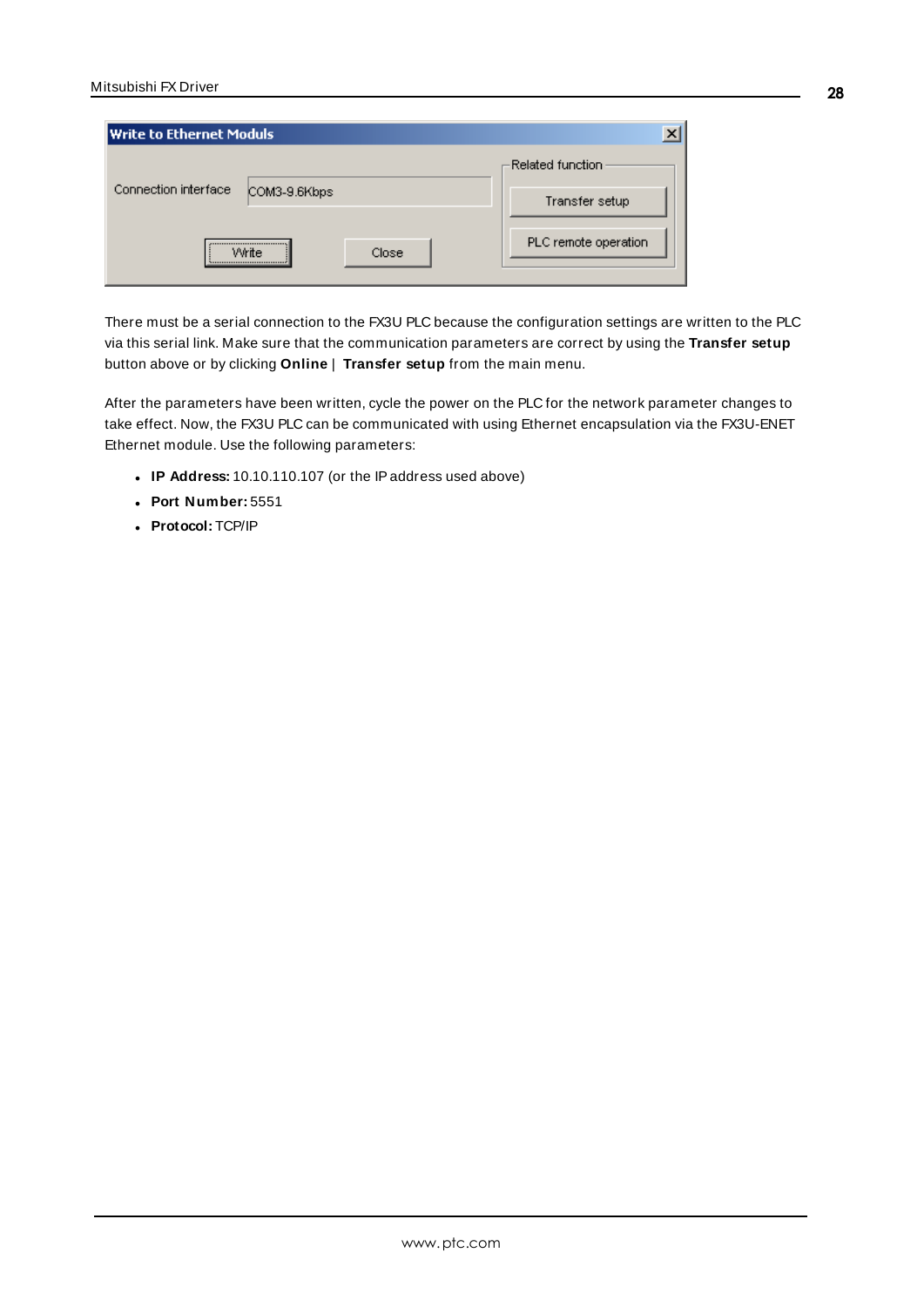| <b>Write to Ethernet Moduls</b>      |                                      |
|--------------------------------------|--------------------------------------|
| Connection interface<br>COM3-9.6Kbps | -Related function.<br>Transfer setup |
| <br>Close<br>Write<br>               | PLC remote operation                 |

There must be a serial connection to the FX3U PLC because the configuration settings are written to the PLC via this serial link. Make sure that the communication parameters are correct by using the **Transfer setup** button above or by clicking **Online** | **Transfer setup** from the main menu.

After the parameters have been written, cycle the power on the PLC for the network parameter changes to take effect. Now, the FX3U PLC can be communicated with using Ethernet encapsulation via the FX3U-ENET Ethernet module. Use the following parameters:

- <sup>l</sup> **IP Address:** 10.10.110.107 (or the IPaddress used above)
- <sup>l</sup> **Port Number:** 5551
- <sup>l</sup> **Protocol:** TCP/IP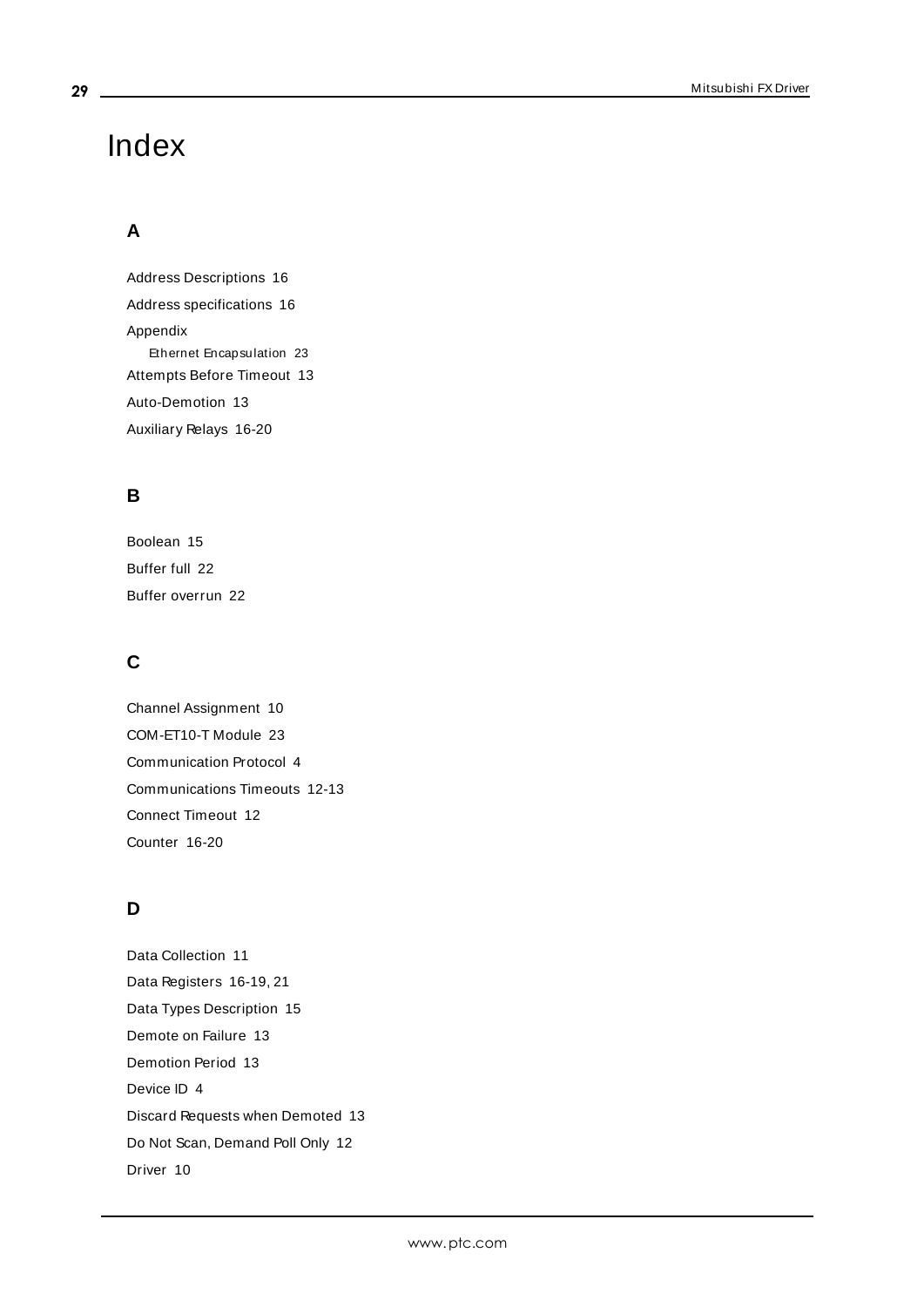# <span id="page-28-0"></span>Index

# **A**

Address Descriptions [16](#page-15-0) Address specifications [16](#page-15-2) Appendix Ethernet Encapsulation [23](#page-22-0) Attempts Before Timeout [13](#page-12-1) Auto-Demotion [13](#page-12-0) Auxiliary Relays [16-20](#page-15-3)

# **B**

Boolean [15](#page-14-1) Buffer full [22](#page-21-3) Buffer overrun [22](#page-21-4)

# **C**

Channel Assignment [10](#page-9-1) COM-ET10-T Module [23](#page-22-2) Communication Protocol [4](#page-3-1) Communications Timeouts [12-13](#page-11-1) Connect Timeout [12](#page-11-2) Counter [16-20](#page-15-4)

# **D**

Data Collection [11](#page-10-2) Data Registers [16-19,](#page-15-5) [21](#page-20-0) Data Types Description [15](#page-14-0) Demote on Failure [13](#page-12-2) Demotion Period [13](#page-12-3) Device ID [4](#page-3-2) Discard Requests when Demoted [13](#page-12-4) Do Not Scan, Demand Poll Only [12](#page-11-3) Driver [10](#page-9-2)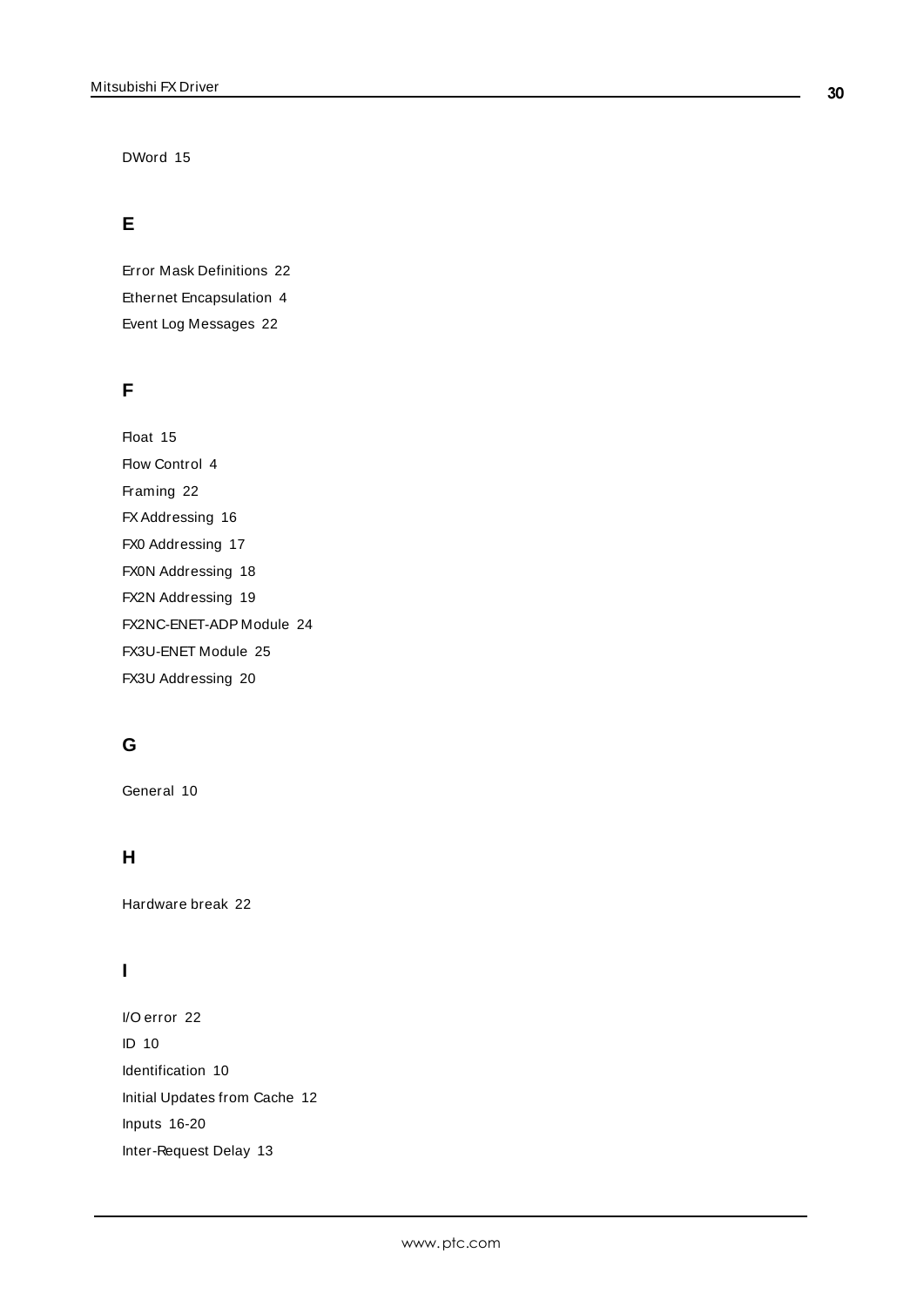DWord [15](#page-14-2)

# **E**

Error Mask Definitions [22](#page-21-2) Ethernet Encapsulation [4](#page-3-3) Event Log Messages [22](#page-21-0)

# **F**

Float [15](#page-14-3) Flow Control [4](#page-3-4) Framing [22](#page-21-5) FX Addressing [16](#page-15-1) FX0 Addressing [17](#page-16-0) FX0N Addressing [18](#page-17-0) FX2N Addressing [19](#page-18-0) FX2NC-ENET-ADP Module [24](#page-23-1) FX3U-ENET Module [25](#page-24-1) FX3U Addressing [20](#page-19-0)

# **G**

General [10](#page-9-0)

# **H**

Hardware break [22](#page-21-6)

# **I**

I/O error [22](#page-21-7) ID [10](#page-9-3) Identification [10](#page-9-0) Initial Updates from Cache [12](#page-11-4) Inputs [16-20](#page-15-6) Inter-Request Delay [13](#page-12-5)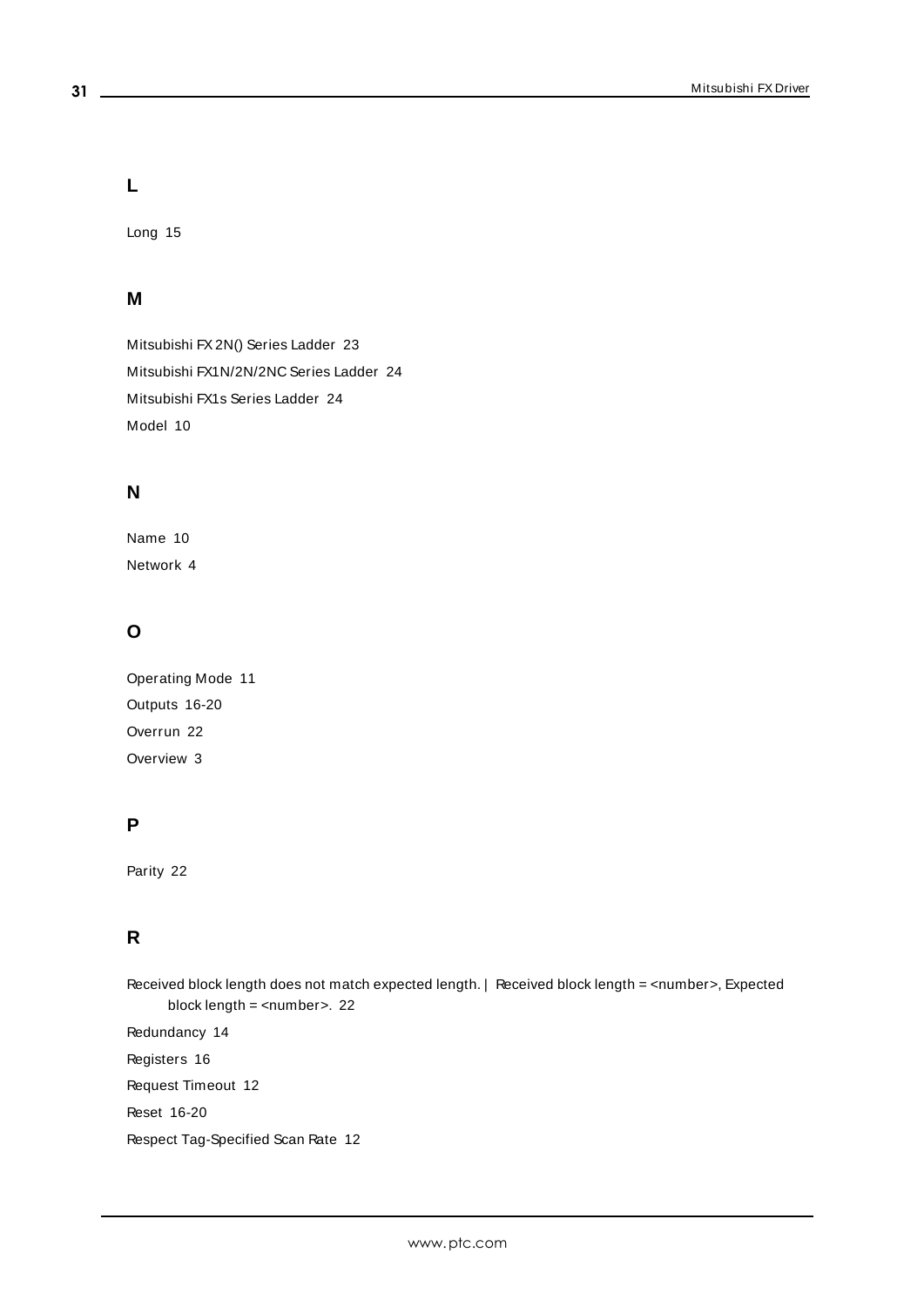**L**

Long [15](#page-14-4)

# **M**

Mitsubishi FX2N() Series Ladder [23](#page-22-3) Mitsubishi FX1N/2N/2NC Series Ladder [24](#page-23-2) Mitsubishi FX1s Series Ladder [24](#page-23-3) Model [10](#page-9-4)

# **N**

Name [10](#page-9-5) Network [4](#page-3-5)

# **O**

Operating Mode [11](#page-10-0) Outputs [16-20](#page-15-7) Overrun [22](#page-21-8) Overview [3](#page-2-1)

# **P**

Parity [22](#page-21-9)

# **R**

Received block length does not match expected length. | Received block length = <number>, Expected block length = <number>. [22](#page-21-1) Redundancy [14](#page-13-0)

Registers [16](#page-15-8) Request Timeout [12](#page-11-5) Reset [16-20](#page-15-9) Respect Tag-Specified Scan Rate [12](#page-11-6)